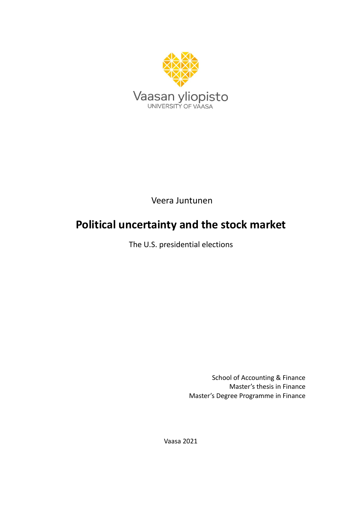

Veera Juntunen

# **Political uncertainty and the stock market**

The U.S. presidential elections

School of Accounting & Finance Master's thesis in Finance Master's Degree Programme in Finance

Vaasa 2021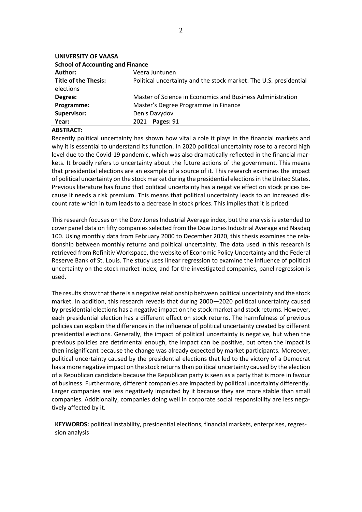| <b>School of Accounting and Finance</b>                           |  |  |  |  |  |  |
|-------------------------------------------------------------------|--|--|--|--|--|--|
| Veera Juntunen                                                    |  |  |  |  |  |  |
| Political uncertainty and the stock market: The U.S. presidential |  |  |  |  |  |  |
| Master of Science in Economics and Business Administration        |  |  |  |  |  |  |
| Master's Degree Programme in Finance                              |  |  |  |  |  |  |
| Denis Davydov                                                     |  |  |  |  |  |  |
| Pages: 91<br>2021                                                 |  |  |  |  |  |  |
|                                                                   |  |  |  |  |  |  |

#### **ABSTRACT:**

Recently political uncertainty has shown how vital a role it plays in the financial markets and why it is essential to understand its function. In 2020 political uncertainty rose to a record high level due to the Covid-19 pandemic, which was also dramatically reflected in the financial markets. It broadly refers to uncertainty about the future actions of the government. This means that presidential elections are an example of a source of it. This research examines the impact of political uncertainty on the stock market during the presidential elections in the United States. Previous literature has found that political uncertainty has a negative effect on stock prices because it needs a risk premium. This means that political uncertainty leads to an increased discount rate which in turn leads to a decrease in stock prices. This implies that it is priced.

This research focuses on the Dow Jones Industrial Average index, but the analysis is extended to cover panel data on fifty companies selected from the Dow Jones Industrial Average and Nasdaq 100. Using monthly data from February 2000 to December 2020, this thesis examines the relationship between monthly returns and political uncertainty. The data used in this research is retrieved from Refinitiv Workspace, the website of Economic Policy Uncertainty and the Federal Reserve Bank of St. Louis. The study uses linear regression to examine the influence of political uncertainty on the stock market index, and for the investigated companies, panel regression is used.

The results show that there is a negative relationship between political uncertainty and the stock market. In addition, this research reveals that during 2000—2020 political uncertainty caused by presidential elections has a negative impact on the stock market and stock returns. However, each presidential election has a different effect on stock returns. The harmfulness of previous policies can explain the differences in the influence of political uncertainty created by different presidential elections. Generally, the impact of political uncertainty is negative, but when the previous policies are detrimental enough, the impact can be positive, but often the impact is then insignificant because the change was already expected by market participants. Moreover, political uncertainty caused by the presidential elections that led to the victory of a Democrat has a more negative impact on the stock returns than political uncertainty caused by the election of a Republican candidate because the Republican party is seen as a party that is more in favour of business. Furthermore, different companies are impacted by political uncertainty differently. Larger companies are less negatively impacted by it because they are more stable than small companies. Additionally, companies doing well in corporate social responsibility are less negatively affected by it.

**KEYWORDS:** political instability, presidential elections, financial markets, enterprises, regression analysis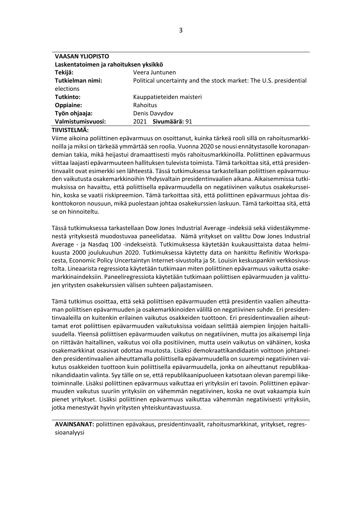| <b>VAASAN YLIOPISTO</b>               |                                                                   |  |  |  |  |  |
|---------------------------------------|-------------------------------------------------------------------|--|--|--|--|--|
| Laskentatoimen ja rahoituksen yksikkö |                                                                   |  |  |  |  |  |
| Tekijä:                               | Veera Juntunen                                                    |  |  |  |  |  |
| Tutkielman nimi:                      | Political uncertainty and the stock market: The U.S. presidential |  |  |  |  |  |
| elections                             |                                                                   |  |  |  |  |  |
| Tutkinto:                             | Kauppatieteiden maisteri                                          |  |  |  |  |  |
| Oppiaine:                             | Rahoitus                                                          |  |  |  |  |  |
| Työn ohjaaja:                         | Denis Davydov                                                     |  |  |  |  |  |
| Valmistumisvuosi:                     | Sivumäärä: 91<br>2021                                             |  |  |  |  |  |
|                                       |                                                                   |  |  |  |  |  |

#### **TIIVISTELMÄ:**

Viime aikoina poliittinen epävarmuus on osoittanut, kuinka tärkeä rooli sillä on rahoitusmarkkinoilla ja miksi on tärkeää ymmärtää sen roolia. Vuonna 2020 se nousi ennätystasolle koronapandemian takia, mikä heijastui dramaattisesti myös rahoitusmarkkinoilla. Poliittinen epävarmuus viittaa laajasti epävarmuuteen hallituksen tulevista toimista. Tämä tarkoittaa sitä, että presidentinvaalit ovat esimerkki sen lähteestä. Tässä tutkimuksessa tarkastellaan poliittisen epävarmuuden vaikutusta osakemarkkinoihin Yhdysvaltain presidentinvaalien aikana. Aikaisemmissa tutkimuksissa on havaittu, että poliittisella epävarmuudella on negatiivinen vaikutus osakekursseihin, koska se vaatii riskipreemion. Tämä tarkoittaa sitä, että poliittinen epävarmuus johtaa diskonttokoron nousuun, mikä puolestaan johtaa osakekurssien laskuun. Tämä tarkoittaa sitä, että se on hinnoiteltu.

Tässä tutkimuksessa tarkastellaan Dow Jones Industrial Average -indeksiä sekä viidestäkymmenestä yrityksestä muodostuvaa paneelidataa. Nämä yritykset on valittu Dow Jones Industrial Average - ja Nasdaq 100 -indekseistä. Tutkimuksessa käytetään kuukausittaista dataa helmikuusta 2000 joulukuuhun 2020. Tutkimuksessa käytetty data on hankittu Refinitiv Workspacesta, Economic Policy Uncertaintyn Internet-sivustolta ja St. Louisin keskuspankin verkkosivustolta. Lineaarista regressiota käytetään tutkimaan miten poliittinen epävarmuus vaikutta osakemarkkinaindeksiin. Paneeliregressiota käytetään tutkimaan poliittisen epävarmuuden ja valittujen yritysten osakekurssien välisen suhteen paljastamiseen.

Tämä tutkimus osoittaa, että sekä poliittisen epävarmuuden että presidentin vaalien aiheuttaman poliittisen epävarmuuden ja osakemarkkinoiden välillä on negatiivinen suhde. Eri presidentinvaaleilla on kuitenkin erilainen vaikutus osakkeiden tuottoon. Eri presidentinvaalien aiheuttamat erot poliittisen epävarmuuden vaikutuksissa voidaan selittää aiempien linjojen haitallisuudella. Yleensä poliittisen epävarmuuden vaikutus on negatiivinen, mutta jos aikaisempi linja on riittävän haitallinen, vaikutus voi olla positiivinen, mutta usein vaikutus on vähäinen, koska osakemarkkinat osasivat odottaa muutosta. Lisäksi demokraattikandidaatin voittoon johtaneiden presidentinvaalien aiheuttamalla poliittisella epävarmuudella on suurempi negatiivinen vaikutus osakkeiden tuottoon kuin poliittisella epävarmuudella, jonka on aiheuttanut republikaanikandidaatin valinta. Syy tälle on se, että republikaanipuolueen katsotaan olevan parempi liiketoiminnalle. Lisäksi poliittinen epävarmuus vaikuttaa eri yrityksiin eri tavoin. Poliittinen epävarmuuden vaikutus suuriin yrityksiin on vähemmän negatiivinen, koska ne ovat vakaampia kuin pienet yritykset. Lisäksi poliittinen epävarmuus vaikuttaa vähemmän negatiivisesti yrityksiin, jotka menestyvät hyvin yritysten yhteiskuntavastuussa.

**AVAINSANAT:** poliittinen epävakaus, presidentinvaalit, rahoitusmarkkinat, yritykset, regressioanalyysi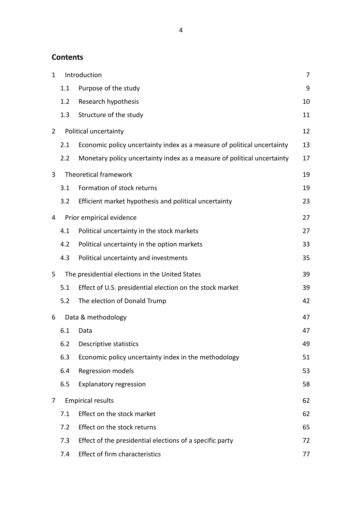### **Contents**

| $\mathbf 1$    |     | Introduction                                                            | 7  |
|----------------|-----|-------------------------------------------------------------------------|----|
|                | 1.1 | Purpose of the study                                                    | 9  |
|                | 1.2 | Research hypothesis                                                     | 10 |
|                | 1.3 | Structure of the study                                                  | 11 |
| $\overline{2}$ |     | Political uncertainty                                                   | 12 |
|                | 2.1 | Economic policy uncertainty index as a measure of political uncertainty | 13 |
|                | 2.2 | Monetary policy uncertainty index as a measure of political uncertainty | 17 |
| 3              |     | <b>Theoretical framework</b>                                            | 19 |
|                | 3.1 | Formation of stock returns                                              | 19 |
|                | 3.2 | Efficient market hypothesis and political uncertainty                   | 23 |
| 4              |     | Prior empirical evidence                                                | 27 |
|                | 4.1 | Political uncertainty in the stock markets                              | 27 |
|                | 4.2 | Political uncertainty in the option markets                             | 33 |
|                | 4.3 | Political uncertainty and investments                                   | 35 |
| 5              |     | The presidential elections in the United States                         | 39 |
|                | 5.1 | Effect of U.S. presidential election on the stock market                | 39 |
|                | 5.2 | The election of Donald Trump                                            | 42 |
| 6              |     | Data & methodology                                                      | 47 |
|                | 6.1 | Data                                                                    | 47 |
|                |     | 6.2 Descriptive statistics                                              | 49 |
|                | 6.3 | Economic policy uncertainty index in the methodology                    | 51 |
|                | 6.4 | Regression models                                                       | 53 |
|                | 6.5 | <b>Explanatory regression</b>                                           | 58 |
| 7              |     | <b>Empirical results</b>                                                | 62 |
|                | 7.1 | Effect on the stock market                                              | 62 |
|                | 7.2 | Effect on the stock returns                                             | 65 |
|                | 7.3 | Effect of the presidential elections of a specific party                | 72 |
|                | 7.4 | <b>Effect of firm characteristics</b>                                   | 77 |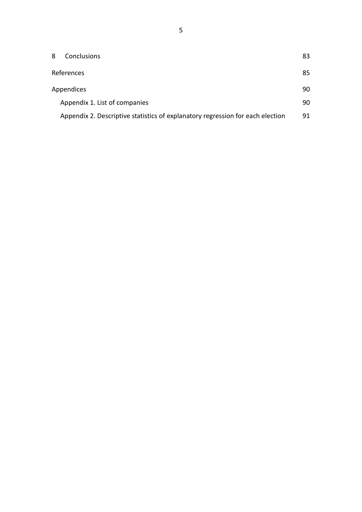| 8 | Conclusions                                                                    | 83  |
|---|--------------------------------------------------------------------------------|-----|
|   | References                                                                     |     |
|   | <b>Appendices</b>                                                              |     |
|   | Appendix 1. List of companies                                                  | 90. |
|   | Appendix 2. Descriptive statistics of explanatory regression for each election | 91  |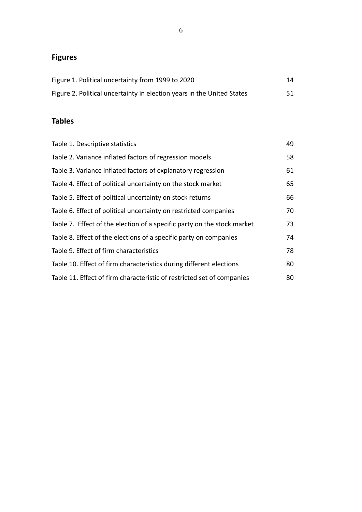## **Figures**

| Figure 1. Political uncertainty from 1999 to 2020                      | 14 |
|------------------------------------------------------------------------|----|
| Figure 2. Political uncertainty in election years in the United States | 51 |

## **Tables**

| Table 1. Descriptive statistics                                         | 49 |
|-------------------------------------------------------------------------|----|
| Table 2. Variance inflated factors of regression models                 | 58 |
| Table 3. Variance inflated factors of explanatory regression            | 61 |
| Table 4. Effect of political uncertainty on the stock market            | 65 |
| Table 5. Effect of political uncertainty on stock returns               | 66 |
| Table 6. Effect of political uncertainty on restricted companies        | 70 |
| Table 7. Effect of the election of a specific party on the stock market | 73 |
| Table 8. Effect of the elections of a specific party on companies       | 74 |
| Table 9. Effect of firm characteristics                                 | 78 |
| Table 10. Effect of firm characteristics during different elections     | 80 |
| Table 11. Effect of firm characteristic of restricted set of companies  | 80 |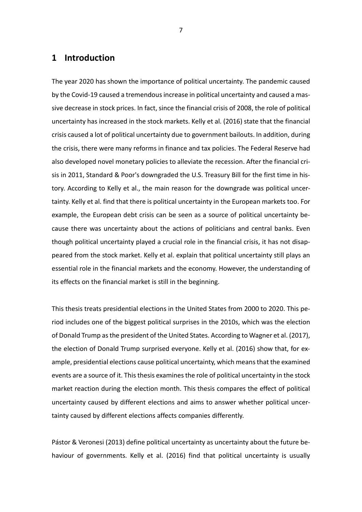### <span id="page-6-0"></span>**1 Introduction**

The year 2020 has shown the importance of political uncertainty. The pandemic caused by the Covid-19 caused a tremendous increase in political uncertainty and caused a massive decrease in stock prices. In fact, since the financial crisis of 2008, the role of political uncertainty has increased in the stock markets. Kelly et al. (2016) state that the financial crisis caused a lot of political uncertainty due to government bailouts. In addition, during the crisis, there were many reforms in finance and tax policies. The Federal Reserve had also developed novel monetary policies to alleviate the recession. After the financial crisis in 2011, Standard & Poor's downgraded the U.S. Treasury Bill for the first time in history. According to Kelly et al., the main reason for the downgrade was political uncertainty. Kelly et al. find that there is political uncertainty in the European markets too. For example, the European debt crisis can be seen as a source of political uncertainty because there was uncertainty about the actions of politicians and central banks. Even though political uncertainty played a crucial role in the financial crisis, it has not disappeared from the stock market. Kelly et al. explain that political uncertainty still plays an essential role in the financial markets and the economy. However, the understanding of its effects on the financial market is still in the beginning.

This thesis treats presidential elections in the United States from 2000 to 2020. This period includes one of the biggest political surprises in the 2010s, which was the election of Donald Trump as the president of the United States. According to Wagner et al. (2017), the election of Donald Trump surprised everyone. Kelly et al. (2016) show that, for example, presidential elections cause political uncertainty, which means that the examined events are a source of it. This thesis examines the role of political uncertainty in the stock market reaction during the election month. This thesis compares the effect of political uncertainty caused by different elections and aims to answer whether political uncertainty caused by different elections affects companies differently.

Pástor & Veronesi (2013) define political uncertainty as uncertainty about the future behaviour of governments. Kelly et al. (2016) find that political uncertainty is usually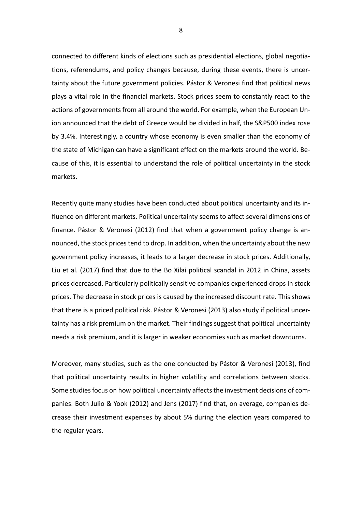connected to different kinds of elections such as presidential elections, global negotiations, referendums, and policy changes because, during these events, there is uncertainty about the future government policies. Pástor & Veronesi find that political news plays a vital role in the financial markets. Stock prices seem to constantly react to the actions of governments from all around the world. For example, when the European Union announced that the debt of Greece would be divided in half, the S&P500 index rose by 3.4%. Interestingly, a country whose economy is even smaller than the economy of the state of Michigan can have a significant effect on the markets around the world. Because of this, it is essential to understand the role of political uncertainty in the stock markets.

Recently quite many studies have been conducted about political uncertainty and its influence on different markets. Political uncertainty seems to affect several dimensions of finance. Pástor & Veronesi (2012) find that when a government policy change is announced, the stock prices tend to drop. In addition, when the uncertainty about the new government policy increases, it leads to a larger decrease in stock prices. Additionally, Liu et al. (2017) find that due to the Bo Xilai political scandal in 2012 in China, assets prices decreased. Particularly politically sensitive companies experienced drops in stock prices. The decrease in stock prices is caused by the increased discount rate. This shows that there is a priced political risk. Pástor & Veronesi (2013) also study if political uncertainty has a risk premium on the market. Their findings suggest that political uncertainty needs a risk premium, and it is larger in weaker economies such as market downturns.

Moreover, many studies, such as the one conducted by Pástor & Veronesi (2013), find that political uncertainty results in higher volatility and correlations between stocks. Some studies focus on how political uncertainty affects the investment decisions of companies. Both Julio & Yook (2012) and Jens (2017) find that, on average, companies decrease their investment expenses by about 5% during the election years compared to the regular years.

8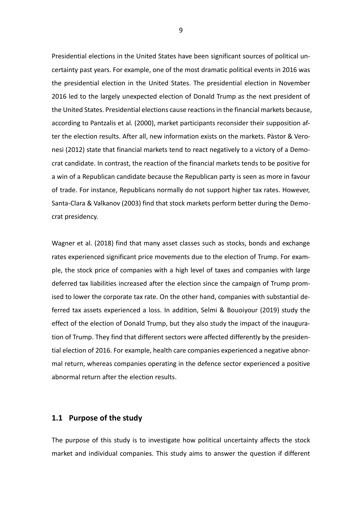Presidential elections in the United States have been significant sources of political uncertainty past years. For example, one of the most dramatic political events in 2016 was the presidential election in the United States. The presidential election in November 2016 led to the largely unexpected election of Donald Trump as the next president of the United States. Presidential elections cause reactions in the financial markets because, according to Pantzalis et al. (2000), market participants reconsider their supposition after the election results. After all, new information exists on the markets. Pàstor & Veronesi (2012) state that financial markets tend to react negatively to a victory of a Democrat candidate. In contrast, the reaction of the financial markets tends to be positive for a win of a Republican candidate because the Republican party is seen as more in favour of trade. For instance, Republicans normally do not support higher tax rates. However, Santa-Clara & Valkanov (2003) find that stock markets perform better during the Democrat presidency.

Wagner et al. (2018) find that many asset classes such as stocks, bonds and exchange rates experienced significant price movements due to the election of Trump. For example, the stock price of companies with a high level of taxes and companies with large deferred tax liabilities increased after the election since the campaign of Trump promised to lower the corporate tax rate. On the other hand, companies with substantial deferred tax assets experienced a loss. In addition, Selmi & Bouoiyour (2019) study the effect of the election of Donald Trump, but they also study the impact of the inauguration of Trump. They find that different sectors were affected differently by the presidential election of 2016. For example, health care companies experienced a negative abnormal return, whereas companies operating in the defence sector experienced a positive abnormal return after the election results.

### <span id="page-8-0"></span>**1.1 Purpose of the study**

The purpose of this study is to investigate how political uncertainty affects the stock market and individual companies. This study aims to answer the question if different

9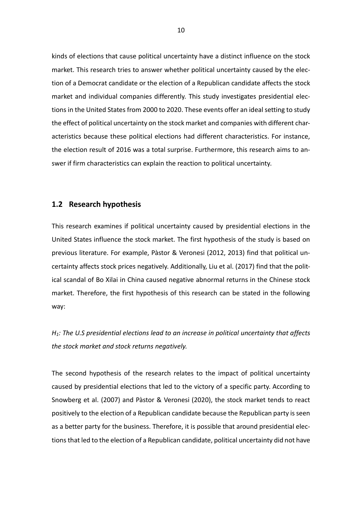kinds of elections that cause political uncertainty have a distinct influence on the stock market. This research tries to answer whether political uncertainty caused by the election of a Democrat candidate or the election of a Republican candidate affects the stock market and individual companies differently. This study investigates presidential elections in the United States from 2000 to 2020. These events offer an ideal setting to study the effect of political uncertainty on the stock market and companies with different characteristics because these political elections had different characteristics. For instance, the election result of 2016 was a total surprise. Furthermore, this research aims to answer if firm characteristics can explain the reaction to political uncertainty.

#### <span id="page-9-0"></span>**1.2 Research hypothesis**

This research examines if political uncertainty caused by presidential elections in the United States influence the stock market. The first hypothesis of the study is based on previous literature. For example, Pàstor & Veronesi (2012, 2013) find that political uncertainty affects stock prices negatively. Additionally, Liu et al. (2017) find that the political scandal of Bo Xilai in China caused negative abnormal returns in the Chinese stock market. Therefore, the first hypothesis of this research can be stated in the following way:

*H1: The U.S presidential elections lead to an increase in political uncertainty that affects the stock market and stock returns negatively.*

The second hypothesis of the research relates to the impact of political uncertainty caused by presidential elections that led to the victory of a specific party. According to Snowberg et al. (2007) and Pàstor & Veronesi (2020), the stock market tends to react positively to the election of a Republican candidate because the Republican party is seen as a better party for the business. Therefore, it is possible that around presidential elections that led to the election of a Republican candidate, political uncertainty did not have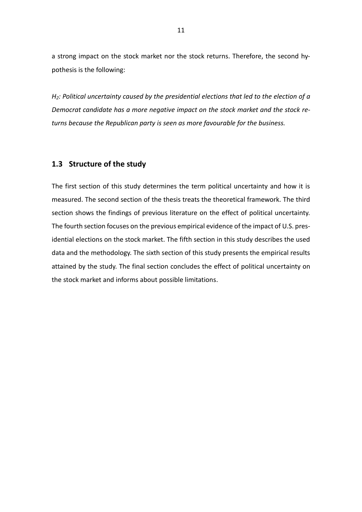a strong impact on the stock market nor the stock returns. Therefore, the second hypothesis is the following:

*H2: Political uncertainty caused by the presidential elections that led to the election of a Democrat candidate has a more negative impact on the stock market and the stock returns because the Republican party is seen as more favourable for the business.*

### <span id="page-10-0"></span>**1.3 Structure of the study**

The first section of this study determines the term political uncertainty and how it is measured. The second section of the thesis treats the theoretical framework. The third section shows the findings of previous literature on the effect of political uncertainty. The fourth section focuses on the previous empirical evidence of the impact of U.S. presidential elections on the stock market. The fifth section in this study describes the used data and the methodology. The sixth section of this study presents the empirical results attained by the study. The final section concludes the effect of political uncertainty on the stock market and informs about possible limitations.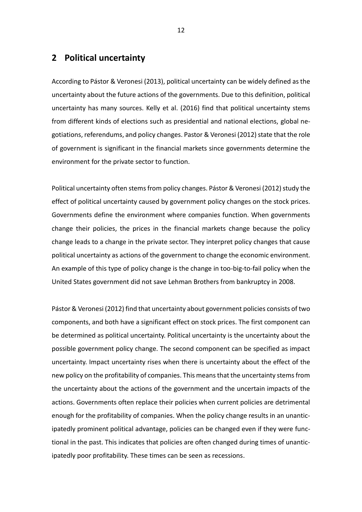### <span id="page-11-0"></span>**2 Political uncertainty**

According to Pástor & Veronesi (2013), political uncertainty can be widely defined as the uncertainty about the future actions of the governments. Due to this definition, political uncertainty has many sources. Kelly et al. (2016) find that political uncertainty stems from different kinds of elections such as presidential and national elections, global negotiations, referendums, and policy changes. Pastor & Veronesi (2012) state that the role of government is significant in the financial markets since governments determine the environment for the private sector to function.

Political uncertainty often stems from policy changes. Pástor & Veronesi (2012) study the effect of political uncertainty caused by government policy changes on the stock prices. Governments define the environment where companies function. When governments change their policies, the prices in the financial markets change because the policy change leads to a change in the private sector. They interpret policy changes that cause political uncertainty as actions of the government to change the economic environment. An example of this type of policy change is the change in too-big-to-fail policy when the United States government did not save Lehman Brothers from bankruptcy in 2008.

Pástor & Veronesi (2012) find that uncertainty about government policies consists of two components, and both have a significant effect on stock prices. The first component can be determined as political uncertainty. Political uncertainty is the uncertainty about the possible government policy change. The second component can be specified as impact uncertainty. Impact uncertainty rises when there is uncertainty about the effect of the new policy on the profitability of companies. This means that the uncertainty stems from the uncertainty about the actions of the government and the uncertain impacts of the actions. Governments often replace their policies when current policies are detrimental enough for the profitability of companies. When the policy change results in an unanticipatedly prominent political advantage, policies can be changed even if they were functional in the past. This indicates that policies are often changed during times of unanticipatedly poor profitability. These times can be seen as recessions.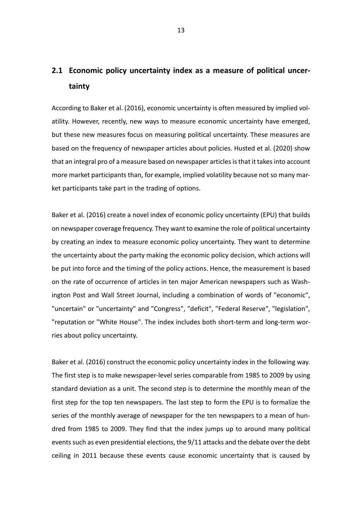## <span id="page-12-0"></span>**2.1 Economic policy uncertainty index as a measure of political uncertainty**

According to Baker et al. (2016), economic uncertainty is often measured by implied volatility. However, recently, new ways to measure economic uncertainty have emerged, but these new measures focus on measuring political uncertainty. These measures are based on the frequency of newspaper articles about policies. Husted et al. (2020) show that an integral pro of a measure based on newspaper articles is that it takes into account more market participants than, for example, implied volatility because not so many market participants take part in the trading of options.

Baker et al. (2016) create a novel index of economic policy uncertainty (EPU) that builds on newspaper coverage frequency. They want to examine the role of political uncertainty by creating an index to measure economic policy uncertainty. They want to determine the uncertainty about the party making the economic policy decision, which actions will be put into force and the timing of the policy actions. Hence, the measurement is based on the rate of occurrence of articles in ten major American newspapers such as Washington Post and Wall Street Journal, including a combination of words of "economic", "uncertain" or "uncertainty" and "Congress", "deficit", "Federal Reserve", "legislation", "reputation or "White House". The index includes both short-term and long-term worries about policy uncertainty.

Baker et al. (2016) construct the economic policy uncertainty index in the following way. The first step is to make newspaper-level series comparable from 1985 to 2009 by using standard deviation as a unit. The second step is to determine the monthly mean of the first step for the top ten newspapers. The last step to form the EPU is to formalize the series of the monthly average of newspaper for the ten newspapers to a mean of hundred from 1985 to 2009. They find that the index jumps up to around many political events such as even presidential elections, the 9/11 attacks and the debate over the debt ceiling in 2011 because these events cause economic uncertainty that is caused by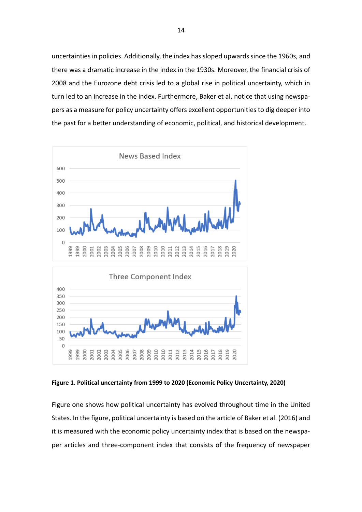uncertainties in policies. Additionally, the index has sloped upwards since the 1960s, and there was a dramatic increase in the index in the 1930s. Moreover, the financial crisis of 2008 and the Eurozone debt crisis led to a global rise in political uncertainty, which in turn led to an increase in the index. Furthermore, Baker et al. notice that using newspapers as a measure for policy uncertainty offers excellent opportunities to dig deeper into the past for a better understanding of economic, political, and historical development.



**Figure 1. Political uncertainty from 1999 to 2020 (Economic Policy Uncertainty, 2020)**

Figure one shows how political uncertainty has evolved throughout time in the United States. In the figure, political uncertainty is based on the article of Baker et al. (2016) and it is measured with the economic policy uncertainty index that is based on the newspaper articles and three-component index that consists of the frequency of newspaper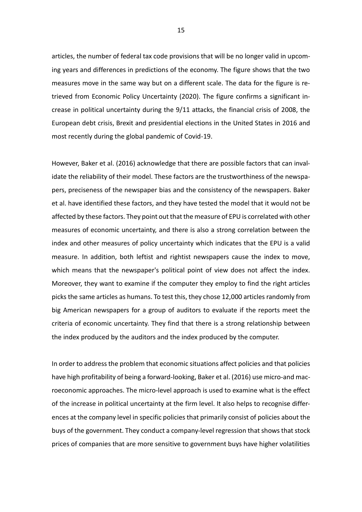articles, the number of federal tax code provisions that will be no longer valid in upcoming years and differences in predictions of the economy. The figure shows that the two measures move in the same way but on a different scale. The data for the figure is retrieved from Economic Policy Uncertainty (2020). The figure confirms a significant increase in political uncertainty during the 9/11 attacks, the financial crisis of 2008, the European debt crisis, Brexit and presidential elections in the United States in 2016 and most recently during the global pandemic of Covid-19.

However, Baker et al. (2016) acknowledge that there are possible factors that can invalidate the reliability of their model. These factors are the trustworthiness of the newspapers, preciseness of the newspaper bias and the consistency of the newspapers. Baker et al. have identified these factors, and they have tested the model that it would not be affected by these factors. They point out that the measure of EPU is correlated with other measures of economic uncertainty, and there is also a strong correlation between the index and other measures of policy uncertainty which indicates that the EPU is a valid measure. In addition, both leftist and rightist newspapers cause the index to move, which means that the newspaper's political point of view does not affect the index. Moreover, they want to examine if the computer they employ to find the right articles picks the same articles as humans. To test this, they chose 12,000 articles randomly from big American newspapers for a group of auditors to evaluate if the reports meet the criteria of economic uncertainty. They find that there is a strong relationship between the index produced by the auditors and the index produced by the computer.

In order to address the problem that economic situations affect policies and that policies have high profitability of being a forward-looking, Baker et al. (2016) use micro-and macroeconomic approaches. The micro-level approach is used to examine what is the effect of the increase in political uncertainty at the firm level. It also helps to recognise differences at the company level in specific policies that primarily consist of policies about the buys of the government. They conduct a company-level regression that shows that stock prices of companies that are more sensitive to government buys have higher volatilities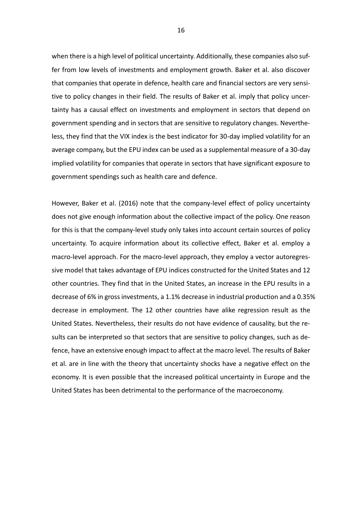when there is a high level of political uncertainty. Additionally, these companies also suffer from low levels of investments and employment growth. Baker et al. also discover that companies that operate in defence, health care and financial sectors are very sensitive to policy changes in their field. The results of Baker et al. imply that policy uncertainty has a causal effect on investments and employment in sectors that depend on government spending and in sectors that are sensitive to regulatory changes. Nevertheless, they find that the VIX index is the best indicator for 30-day implied volatility for an average company, but the EPU index can be used as a supplemental measure of a 30-day implied volatility for companies that operate in sectors that have significant exposure to government spendings such as health care and defence.

However, Baker et al. (2016) note that the company-level effect of policy uncertainty does not give enough information about the collective impact of the policy. One reason for this is that the company-level study only takes into account certain sources of policy uncertainty. To acquire information about its collective effect, Baker et al. employ a macro-level approach. For the macro-level approach, they employ a vector autoregressive model that takes advantage of EPU indices constructed for the United States and 12 other countries. They find that in the United States, an increase in the EPU results in a decrease of 6% in gross investments, a 1.1% decrease in industrial production and a 0.35% decrease in employment. The 12 other countries have alike regression result as the United States. Nevertheless, their results do not have evidence of causality, but the results can be interpreted so that sectors that are sensitive to policy changes, such as defence, have an extensive enough impact to affect at the macro level. The results of Baker et al. are in line with the theory that uncertainty shocks have a negative effect on the economy. It is even possible that the increased political uncertainty in Europe and the United States has been detrimental to the performance of the macroeconomy.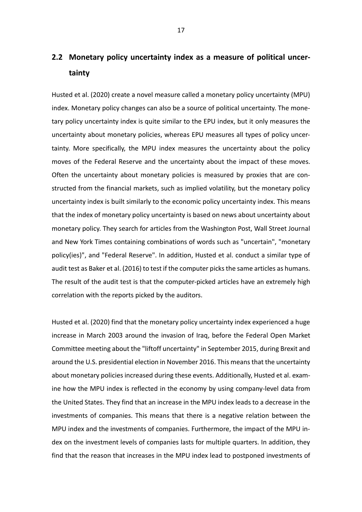## <span id="page-16-0"></span>**2.2 Monetary policy uncertainty index as a measure of political uncertainty**

Husted et al. (2020) create a novel measure called a monetary policy uncertainty (MPU) index. Monetary policy changes can also be a source of political uncertainty. The monetary policy uncertainty index is quite similar to the EPU index, but it only measures the uncertainty about monetary policies, whereas EPU measures all types of policy uncertainty. More specifically, the MPU index measures the uncertainty about the policy moves of the Federal Reserve and the uncertainty about the impact of these moves. Often the uncertainty about monetary policies is measured by proxies that are constructed from the financial markets, such as implied volatility, but the monetary policy uncertainty index is built similarly to the economic policy uncertainty index. This means that the index of monetary policy uncertainty is based on news about uncertainty about monetary policy. They search for articles from the Washington Post, Wall Street Journal and New York Times containing combinations of words such as "uncertain", "monetary policy(ies)", and "Federal Reserve". In addition, Husted et al. conduct a similar type of audit test as Baker et al. (2016) to test if the computer picks the same articles as humans. The result of the audit test is that the computer-picked articles have an extremely high correlation with the reports picked by the auditors.

Husted et al. (2020) find that the monetary policy uncertainty index experienced a huge increase in March 2003 around the invasion of Iraq, before the Federal Open Market Committee meeting about the "liftoff uncertainty" in September 2015, during Brexit and around the U.S. presidential election in November 2016. This means that the uncertainty about monetary policies increased during these events. Additionally, Husted et al. examine how the MPU index is reflected in the economy by using company-level data from the United States. They find that an increase in the MPU index leads to a decrease in the investments of companies. This means that there is a negative relation between the MPU index and the investments of companies. Furthermore, the impact of the MPU index on the investment levels of companies lasts for multiple quarters. In addition, they find that the reason that increases in the MPU index lead to postponed investments of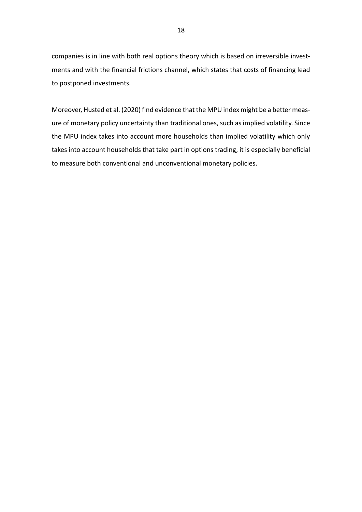companies is in line with both real options theory which is based on irreversible investments and with the financial frictions channel, which states that costs of financing lead to postponed investments.

Moreover, Husted et al. (2020) find evidence that the MPU index might be a better measure of monetary policy uncertainty than traditional ones, such as implied volatility. Since the MPU index takes into account more households than implied volatility which only takes into account households that take part in options trading, it is especially beneficial to measure both conventional and unconventional monetary policies.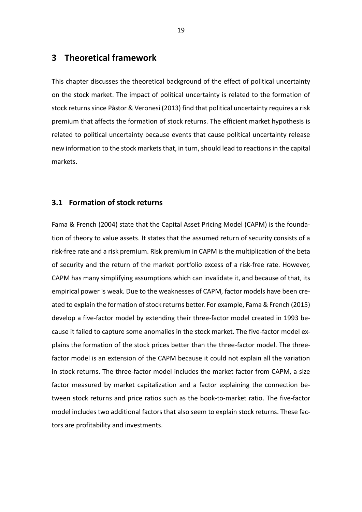### <span id="page-18-0"></span>**3 Theoretical framework**

This chapter discusses the theoretical background of the effect of political uncertainty on the stock market. The impact of political uncertainty is related to the formation of stock returns since Pàstor & Veronesi (2013) find that political uncertainty requires a risk premium that affects the formation of stock returns. The efficient market hypothesis is related to political uncertainty because events that cause political uncertainty release new information to the stock markets that, in turn, should lead to reactions in the capital markets.

### <span id="page-18-1"></span>**3.1 Formation of stock returns**

Fama & French (2004) state that the Capital Asset Pricing Model (CAPM) is the foundation of theory to value assets. It states that the assumed return of security consists of a risk-free rate and a risk premium. Risk premium in CAPM is the multiplication of the beta of security and the return of the market portfolio excess of a risk-free rate. However, CAPM has many simplifying assumptions which can invalidate it, and because of that, its empirical power is weak. Due to the weaknesses of CAPM, factor models have been created to explain the formation of stock returns better. For example, Fama & French (2015) develop a five-factor model by extending their three-factor model created in 1993 because it failed to capture some anomalies in the stock market. The five-factor model explains the formation of the stock prices better than the three-factor model. The threefactor model is an extension of the CAPM because it could not explain all the variation in stock returns. The three-factor model includes the market factor from CAPM, a size factor measured by market capitalization and a factor explaining the connection between stock returns and price ratios such as the book-to-market ratio. The five-factor model includes two additional factors that also seem to explain stock returns. These factors are profitability and investments.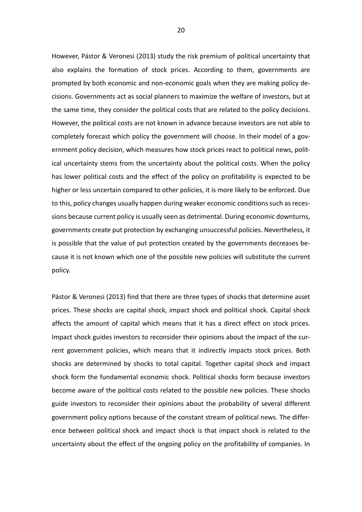However, Pástor & Veronesi (2013) study the risk premium of political uncertainty that also explains the formation of stock prices. According to them, governments are prompted by both economic and non-economic goals when they are making policy decisions. Governments act as social planners to maximize the welfare of investors, but at the same time, they consider the political costs that are related to the policy decisions. However, the political costs are not known in advance because investors are not able to completely forecast which policy the government will choose. In their model of a government policy decision, which measures how stock prices react to political news, political uncertainty stems from the uncertainty about the political costs. When the policy has lower political costs and the effect of the policy on profitability is expected to be higher or less uncertain compared to other policies, it is more likely to be enforced. Due to this, policy changes usually happen during weaker economic conditions such as recessions because current policy is usually seen as detrimental. During economic downturns, governments create put protection by exchanging unsuccessful policies. Nevertheless, it is possible that the value of put protection created by the governments decreases because it is not known which one of the possible new policies will substitute the current policy.

Pástor & Veronesi (2013) find that there are three types of shocks that determine asset prices. These shocks are capital shock, impact shock and political shock. Capital shock affects the amount of capital which means that it has a direct effect on stock prices. Impact shock guides investors to reconsider their opinions about the impact of the current government policies, which means that it indirectly impacts stock prices. Both shocks are determined by shocks to total capital. Together capital shock and impact shock form the fundamental economic shock. Political shocks form because investors become aware of the political costs related to the possible new policies. These shocks guide investors to reconsider their opinions about the probability of several different government policy options because of the constant stream of political news. The difference between political shock and impact shock is that impact shock is related to the uncertainty about the effect of the ongoing policy on the profitability of companies. In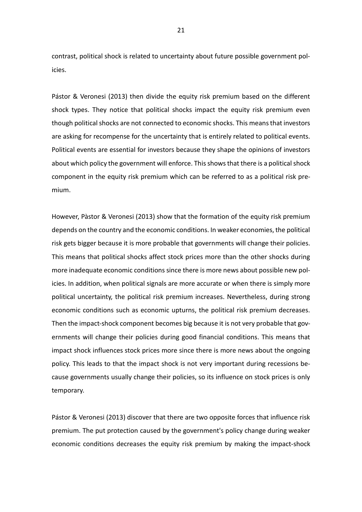contrast, political shock is related to uncertainty about future possible government policies.

Pástor & Veronesi (2013) then divide the equity risk premium based on the different shock types. They notice that political shocks impact the equity risk premium even though political shocks are not connected to economic shocks. This means that investors are asking for recompense for the uncertainty that is entirely related to political events. Political events are essential for investors because they shape the opinions of investors about which policy the government will enforce. This shows that there is a political shock component in the equity risk premium which can be referred to as a political risk premium.

However, Pàstor & Veronesi (2013) show that the formation of the equity risk premium depends on the country and the economic conditions. In weaker economies, the political risk gets bigger because it is more probable that governments will change their policies. This means that political shocks affect stock prices more than the other shocks during more inadequate economic conditions since there is more news about possible new policies. In addition, when political signals are more accurate or when there is simply more political uncertainty, the political risk premium increases. Nevertheless, during strong economic conditions such as economic upturns, the political risk premium decreases. Then the impact-shock component becomes big because it is not very probable that governments will change their policies during good financial conditions. This means that impact shock influences stock prices more since there is more news about the ongoing policy. This leads to that the impact shock is not very important during recessions because governments usually change their policies, so its influence on stock prices is only temporary.

Pástor & Veronesi (2013) discover that there are two opposite forces that influence risk premium. The put protection caused by the government's policy change during weaker economic conditions decreases the equity risk premium by making the impact-shock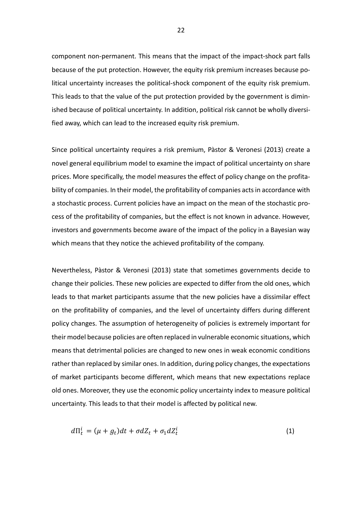component non-permanent. This means that the impact of the impact-shock part falls because of the put protection. However, the equity risk premium increases because political uncertainty increases the political-shock component of the equity risk premium. This leads to that the value of the put protection provided by the government is diminished because of political uncertainty. In addition, political risk cannot be wholly diversified away, which can lead to the increased equity risk premium.

Since political uncertainty requires a risk premium, Pàstor & Veronesi (2013) create a novel general equilibrium model to examine the impact of political uncertainty on share prices. More specifically, the model measures the effect of policy change on the profitability of companies. In their model, the profitability of companies acts in accordance with a stochastic process. Current policies have an impact on the mean of the stochastic process of the profitability of companies, but the effect is not known in advance. However, investors and governments become aware of the impact of the policy in a Bayesian way which means that they notice the achieved profitability of the company.

Nevertheless, Pàstor & Veronesi (2013) state that sometimes governments decide to change their policies. These new policies are expected to differ from the old ones, which leads to that market participants assume that the new policies have a dissimilar effect on the profitability of companies, and the level of uncertainty differs during different policy changes. The assumption of heterogeneity of policies is extremely important for their model because policies are often replaced in vulnerable economic situations, which means that detrimental policies are changed to new ones in weak economic conditions rather than replaced by similar ones. In addition, during policy changes, the expectations of market participants become different, which means that new expectations replace old ones. Moreover, they use the economic policy uncertainty index to measure political uncertainty. This leads to that their model is affected by political new.

$$
d\Pi_t^i = (\mu + g_t)dt + \sigma dZ_t + \sigma_1 dZ_t^i \tag{1}
$$

22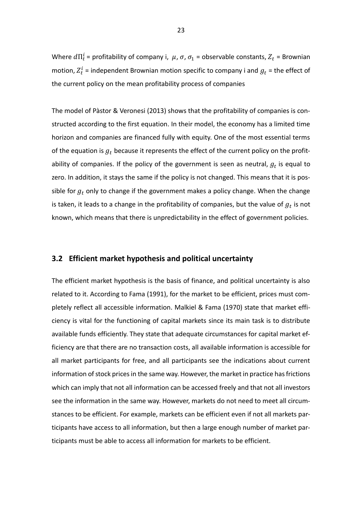Where  $d\Pi_t^i$  = profitability of company i,  $\mu$ ,  $\sigma$ ,  $\sigma_1$  = observable constants,  $Z_t$  = Brownian motion,  $Z_t^i$  = independent Brownian motion specific to company i and  $g_t$  = the effect of the current policy on the mean profitability process of companies

The model of Pàstor & Veronesi (2013) shows that the profitability of companies is constructed according to the first equation. In their model, the economy has a limited time horizon and companies are financed fully with equity. One of the most essential terms of the equation is  $g_t$  because it represents the effect of the current policy on the profitability of companies. If the policy of the government is seen as neutral,  $g_t$  is equal to zero. In addition, it stays the same if the policy is not changed. This means that it is possible for  $g_t$  only to change if the government makes a policy change. When the change is taken, it leads to a change in the profitability of companies, but the value of  $g_t$  is not known, which means that there is unpredictability in the effect of government policies.

### <span id="page-22-0"></span>**3.2 Efficient market hypothesis and political uncertainty**

The efficient market hypothesis is the basis of finance, and political uncertainty is also related to it. According to Fama (1991), for the market to be efficient, prices must completely reflect all accessible information. Malkiel & Fama (1970) state that market efficiency is vital for the functioning of capital markets since its main task is to distribute available funds efficiently. They state that adequate circumstances for capital market efficiency are that there are no transaction costs, all available information is accessible for all market participants for free, and all participants see the indications about current information of stock prices in the same way. However, the market in practice has frictions which can imply that not all information can be accessed freely and that not all investors see the information in the same way. However, markets do not need to meet all circumstances to be efficient. For example, markets can be efficient even if not all markets participants have access to all information, but then a large enough number of market participants must be able to access all information for markets to be efficient.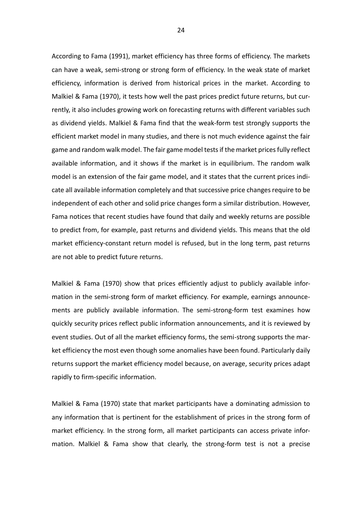According to Fama (1991), market efficiency has three forms of efficiency. The markets can have a weak, semi-strong or strong form of efficiency. In the weak state of market efficiency, information is derived from historical prices in the market. According to Malkiel & Fama (1970), it tests how well the past prices predict future returns, but currently, it also includes growing work on forecasting returns with different variables such as dividend yields. Malkiel & Fama find that the weak-form test strongly supports the efficient market model in many studies, and there is not much evidence against the fair game and random walk model. The fair game model tests if the market prices fully reflect available information, and it shows if the market is in equilibrium. The random walk model is an extension of the fair game model, and it states that the current prices indicate all available information completely and that successive price changes require to be independent of each other and solid price changes form a similar distribution. However, Fama notices that recent studies have found that daily and weekly returns are possible to predict from, for example, past returns and dividend yields. This means that the old market efficiency-constant return model is refused, but in the long term, past returns are not able to predict future returns.

Malkiel & Fama (1970) show that prices efficiently adjust to publicly available information in the semi-strong form of market efficiency. For example, earnings announcements are publicly available information. The semi-strong-form test examines how quickly security prices reflect public information announcements, and it is reviewed by event studies. Out of all the market efficiency forms, the semi-strong supports the market efficiency the most even though some anomalies have been found. Particularly daily returns support the market efficiency model because, on average, security prices adapt rapidly to firm-specific information.

Malkiel & Fama (1970) state that market participants have a dominating admission to any information that is pertinent for the establishment of prices in the strong form of market efficiency. In the strong form, all market participants can access private information. Malkiel & Fama show that clearly, the strong-form test is not a precise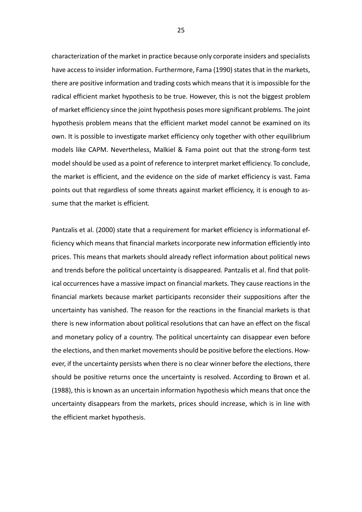characterization of the market in practice because only corporate insiders and specialists have access to insider information. Furthermore, Fama (1990) states that in the markets, there are positive information and trading costs which means that it is impossible for the radical efficient market hypothesis to be true. However, this is not the biggest problem of market efficiency since the joint hypothesis poses more significant problems. The joint hypothesis problem means that the efficient market model cannot be examined on its own. It is possible to investigate market efficiency only together with other equilibrium models like CAPM. Nevertheless, Malkiel & Fama point out that the strong-form test model should be used as a point of reference to interpret market efficiency. To conclude, the market is efficient, and the evidence on the side of market efficiency is vast. Fama points out that regardless of some threats against market efficiency, it is enough to assume that the market is efficient.

Pantzalis et al. (2000) state that a requirement for market efficiency is informational efficiency which means that financial markets incorporate new information efficiently into prices. This means that markets should already reflect information about political news and trends before the political uncertainty is disappeared. Pantzalis et al. find that political occurrences have a massive impact on financial markets. They cause reactions in the financial markets because market participants reconsider their suppositions after the uncertainty has vanished. The reason for the reactions in the financial markets is that there is new information about political resolutions that can have an effect on the fiscal and monetary policy of a country. The political uncertainty can disappear even before the elections, and then market movements should be positive before the elections. However, if the uncertainty persists when there is no clear winner before the elections, there should be positive returns once the uncertainty is resolved. According to Brown et al. (1988), this is known as an uncertain information hypothesis which means that once the uncertainty disappears from the markets, prices should increase, which is in line with the efficient market hypothesis.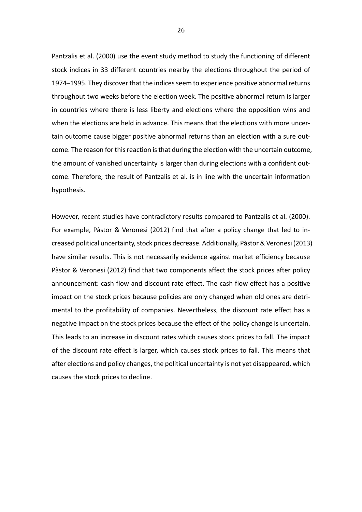Pantzalis et al. (2000) use the event study method to study the functioning of different stock indices in 33 different countries nearby the elections throughout the period of 1974–1995. They discover that the indices seem to experience positive abnormal returns throughout two weeks before the election week. The positive abnormal return is larger in countries where there is less liberty and elections where the opposition wins and when the elections are held in advance. This means that the elections with more uncertain outcome cause bigger positive abnormal returns than an election with a sure outcome. The reason for this reaction is that during the election with the uncertain outcome, the amount of vanished uncertainty is larger than during elections with a confident outcome. Therefore, the result of Pantzalis et al. is in line with the uncertain information hypothesis.

However, recent studies have contradictory results compared to Pantzalis et al. (2000). For example, Pàstor & Veronesi (2012) find that after a policy change that led to increased political uncertainty, stock prices decrease. Additionally, Pàstor & Veronesi (2013) have similar results. This is not necessarily evidence against market efficiency because Pàstor & Veronesi (2012) find that two components affect the stock prices after policy announcement: cash flow and discount rate effect. The cash flow effect has a positive impact on the stock prices because policies are only changed when old ones are detrimental to the profitability of companies. Nevertheless, the discount rate effect has a negative impact on the stock prices because the effect of the policy change is uncertain. This leads to an increase in discount rates which causes stock prices to fall. The impact of the discount rate effect is larger, which causes stock prices to fall. This means that after elections and policy changes, the political uncertainty is not yet disappeared, which causes the stock prices to decline.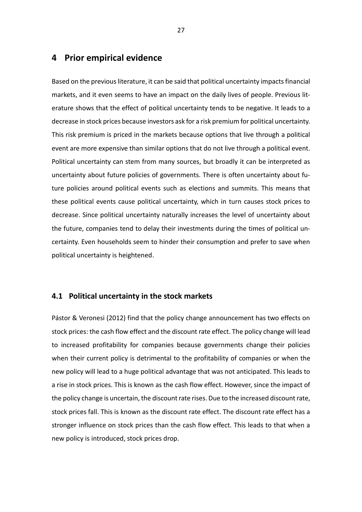### <span id="page-26-0"></span>**4 Prior empirical evidence**

Based on the previous literature, it can be said that political uncertainty impacts financial markets, and it even seems to have an impact on the daily lives of people. Previous literature shows that the effect of political uncertainty tends to be negative. It leads to a decrease in stock prices because investors ask for a risk premium for political uncertainty. This risk premium is priced in the markets because options that live through a political event are more expensive than similar options that do not live through a political event. Political uncertainty can stem from many sources, but broadly it can be interpreted as uncertainty about future policies of governments. There is often uncertainty about future policies around political events such as elections and summits. This means that these political events cause political uncertainty, which in turn causes stock prices to decrease. Since political uncertainty naturally increases the level of uncertainty about the future, companies tend to delay their investments during the times of political uncertainty. Even households seem to hinder their consumption and prefer to save when political uncertainty is heightened.

### <span id="page-26-1"></span>**4.1 Political uncertainty in the stock markets**

Pástor & Veronesi (2012) find that the policy change announcement has two effects on stock prices: the cash flow effect and the discount rate effect. The policy change will lead to increased profitability for companies because governments change their policies when their current policy is detrimental to the profitability of companies or when the new policy will lead to a huge political advantage that was not anticipated. This leads to a rise in stock prices. This is known as the cash flow effect. However, since the impact of the policy change is uncertain, the discount rate rises. Due to the increased discount rate, stock prices fall. This is known as the discount rate effect. The discount rate effect has a stronger influence on stock prices than the cash flow effect. This leads to that when a new policy is introduced, stock prices drop.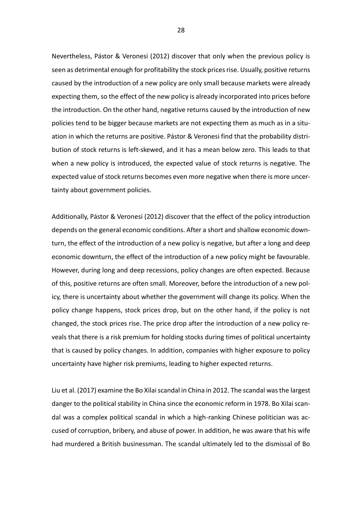Nevertheless, Pástor & Veronesi (2012) discover that only when the previous policy is seen as detrimental enough for profitability the stock prices rise. Usually, positive returns caused by the introduction of a new policy are only small because markets were already expecting them, so the effect of the new policy is already incorporated into prices before the introduction. On the other hand, negative returns caused by the introduction of new policies tend to be bigger because markets are not expecting them as much as in a situation in which the returns are positive. Pástor & Veronesi find that the probability distribution of stock returns is left-skewed, and it has a mean below zero. This leads to that when a new policy is introduced, the expected value of stock returns is negative. The expected value of stock returns becomes even more negative when there is more uncertainty about government policies.

Additionally, Pástor & Veronesi (2012) discover that the effect of the policy introduction depends on the general economic conditions. After a short and shallow economic downturn, the effect of the introduction of a new policy is negative, but after a long and deep economic downturn, the effect of the introduction of a new policy might be favourable. However, during long and deep recessions, policy changes are often expected. Because of this, positive returns are often small. Moreover, before the introduction of a new policy, there is uncertainty about whether the government will change its policy. When the policy change happens, stock prices drop, but on the other hand, if the policy is not changed, the stock prices rise. The price drop after the introduction of a new policy reveals that there is a risk premium for holding stocks during times of political uncertainty that is caused by policy changes. In addition, companies with higher exposure to policy uncertainty have higher risk premiums, leading to higher expected returns.

Liu et al. (2017) examine the Bo Xilai scandal in China in 2012. The scandal was the largest danger to the political stability in China since the economic reform in 1978. Bo Xilai scandal was a complex political scandal in which a high-ranking Chinese politician was accused of corruption, bribery, and abuse of power. In addition, he was aware that his wife had murdered a British businessman. The scandal ultimately led to the dismissal of Bo

28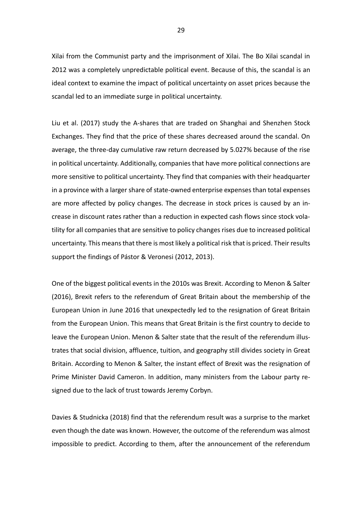Xilai from the Communist party and the imprisonment of Xilai. The Bo Xilai scandal in 2012 was a completely unpredictable political event. Because of this, the scandal is an ideal context to examine the impact of political uncertainty on asset prices because the scandal led to an immediate surge in political uncertainty.

Liu et al. (2017) study the A-shares that are traded on Shanghai and Shenzhen Stock Exchanges. They find that the price of these shares decreased around the scandal. On average, the three-day cumulative raw return decreased by 5.027% because of the rise in political uncertainty. Additionally, companies that have more political connections are more sensitive to political uncertainty. They find that companies with their headquarter in a province with a larger share of state-owned enterprise expenses than total expenses are more affected by policy changes. The decrease in stock prices is caused by an increase in discount rates rather than a reduction in expected cash flows since stock volatility for all companies that are sensitive to policy changes rises due to increased political uncertainty. This means that there is most likely a political risk that is priced. Their results support the findings of Pástor & Veronesi (2012, 2013).

One of the biggest political events in the 2010s was Brexit. According to Menon & Salter (2016), Brexit refers to the referendum of Great Britain about the membership of the European Union in June 2016 that unexpectedly led to the resignation of Great Britain from the European Union. This means that Great Britain is the first country to decide to leave the European Union. Menon & Salter state that the result of the referendum illustrates that social division, affluence, tuition, and geography still divides society in Great Britain. According to Menon & Salter, the instant effect of Brexit was the resignation of Prime Minister David Cameron. In addition, many ministers from the Labour party resigned due to the lack of trust towards Jeremy Corbyn.

Davies & Studnicka (2018) find that the referendum result was a surprise to the market even though the date was known. However, the outcome of the referendum was almost impossible to predict. According to them, after the announcement of the referendum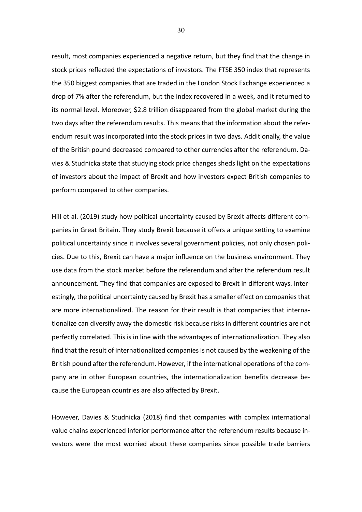result, most companies experienced a negative return, but they find that the change in stock prices reflected the expectations of investors. The FTSE 350 index that represents the 350 biggest companies that are traded in the London Stock Exchange experienced a drop of 7% after the referendum, but the index recovered in a week, and it returned to its normal level. Moreover, \$2.8 trillion disappeared from the global market during the two days after the referendum results. This means that the information about the referendum result was incorporated into the stock prices in two days. Additionally, the value of the British pound decreased compared to other currencies after the referendum. Davies & Studnicka state that studying stock price changes sheds light on the expectations of investors about the impact of Brexit and how investors expect British companies to perform compared to other companies.

Hill et al. (2019) study how political uncertainty caused by Brexit affects different companies in Great Britain. They study Brexit because it offers a unique setting to examine political uncertainty since it involves several government policies, not only chosen policies. Due to this, Brexit can have a major influence on the business environment. They use data from the stock market before the referendum and after the referendum result announcement. They find that companies are exposed to Brexit in different ways. Interestingly, the political uncertainty caused by Brexit has a smaller effect on companies that are more internationalized. The reason for their result is that companies that internationalize can diversify away the domestic risk because risks in different countries are not perfectly correlated. This is in line with the advantages of internationalization. They also find that the result of internationalized companies is not caused by the weakening of the British pound after the referendum. However, if the international operations of the company are in other European countries, the internationalization benefits decrease because the European countries are also affected by Brexit.

However, Davies & Studnicka (2018) find that companies with complex international value chains experienced inferior performance after the referendum results because investors were the most worried about these companies since possible trade barriers

30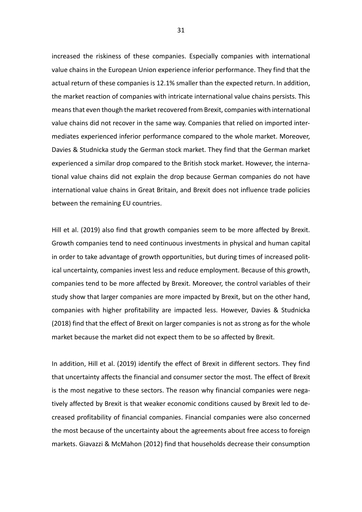increased the riskiness of these companies. Especially companies with international value chains in the European Union experience inferior performance. They find that the actual return of these companies is 12.1% smaller than the expected return. In addition, the market reaction of companies with intricate international value chains persists. This means that even though the market recovered from Brexit, companies with international value chains did not recover in the same way. Companies that relied on imported intermediates experienced inferior performance compared to the whole market. Moreover, Davies & Studnicka study the German stock market. They find that the German market experienced a similar drop compared to the British stock market. However, the international value chains did not explain the drop because German companies do not have international value chains in Great Britain, and Brexit does not influence trade policies between the remaining EU countries.

Hill et al. (2019) also find that growth companies seem to be more affected by Brexit. Growth companies tend to need continuous investments in physical and human capital in order to take advantage of growth opportunities, but during times of increased political uncertainty, companies invest less and reduce employment. Because of this growth, companies tend to be more affected by Brexit. Moreover, the control variables of their study show that larger companies are more impacted by Brexit, but on the other hand, companies with higher profitability are impacted less. However, Davies & Studnicka (2018) find that the effect of Brexit on larger companies is not as strong as for the whole market because the market did not expect them to be so affected by Brexit.

In addition, Hill et al. (2019) identify the effect of Brexit in different sectors. They find that uncertainty affects the financial and consumer sector the most. The effect of Brexit is the most negative to these sectors. The reason why financial companies were negatively affected by Brexit is that weaker economic conditions caused by Brexit led to decreased profitability of financial companies. Financial companies were also concerned the most because of the uncertainty about the agreements about free access to foreign markets. Giavazzi & McMahon (2012) find that households decrease their consumption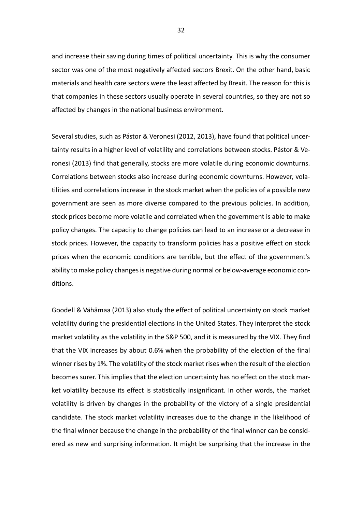and increase their saving during times of political uncertainty. This is why the consumer sector was one of the most negatively affected sectors Brexit. On the other hand, basic materials and health care sectors were the least affected by Brexit. The reason for this is that companies in these sectors usually operate in several countries, so they are not so affected by changes in the national business environment.

Several studies, such as Pástor & Veronesi (2012, 2013), have found that political uncertainty results in a higher level of volatility and correlations between stocks. Pástor & Veronesi (2013) find that generally, stocks are more volatile during economic downturns. Correlations between stocks also increase during economic downturns. However, volatilities and correlations increase in the stock market when the policies of a possible new government are seen as more diverse compared to the previous policies. In addition, stock prices become more volatile and correlated when the government is able to make policy changes. The capacity to change policies can lead to an increase or a decrease in stock prices. However, the capacity to transform policies has a positive effect on stock prices when the economic conditions are terrible, but the effect of the government's ability to make policy changes is negative during normal or below-average economic conditions.

Goodell & Vähämaa (2013) also study the effect of political uncertainty on stock market volatility during the presidential elections in the United States. They interpret the stock market volatility as the volatility in the S&P 500, and it is measured by the VIX. They find that the VIX increases by about 0.6% when the probability of the election of the final winner rises by 1%. The volatility of the stock market rises when the result of the election becomes surer. This implies that the election uncertainty has no effect on the stock market volatility because its effect is statistically insignificant. In other words, the market volatility is driven by changes in the probability of the victory of a single presidential candidate. The stock market volatility increases due to the change in the likelihood of the final winner because the change in the probability of the final winner can be considered as new and surprising information. It might be surprising that the increase in the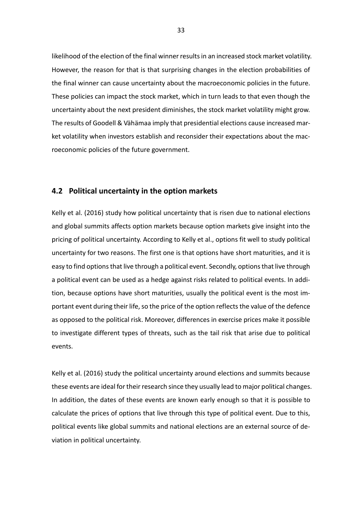likelihood of the election of the final winner results in an increased stock market volatility. However, the reason for that is that surprising changes in the election probabilities of the final winner can cause uncertainty about the macroeconomic policies in the future. These policies can impact the stock market, which in turn leads to that even though the uncertainty about the next president diminishes, the stock market volatility might grow. The results of Goodell & Vähämaa imply that presidential elections cause increased market volatility when investors establish and reconsider their expectations about the macroeconomic policies of the future government.

### <span id="page-32-0"></span>**4.2 Political uncertainty in the option markets**

Kelly et al. (2016) study how political uncertainty that is risen due to national elections and global summits affects option markets because option markets give insight into the pricing of political uncertainty. According to Kelly et al., options fit well to study political uncertainty for two reasons. The first one is that options have short maturities, and it is easy to find options that live through a political event. Secondly, options that live through a political event can be used as a hedge against risks related to political events. In addition, because options have short maturities, usually the political event is the most important event during their life, so the price of the option reflects the value of the defence as opposed to the political risk. Moreover, differences in exercise prices make it possible to investigate different types of threats, such as the tail risk that arise due to political events.

Kelly et al. (2016) study the political uncertainty around elections and summits because these events are ideal for their research since they usually lead to major political changes. In addition, the dates of these events are known early enough so that it is possible to calculate the prices of options that live through this type of political event. Due to this, political events like global summits and national elections are an external source of deviation in political uncertainty.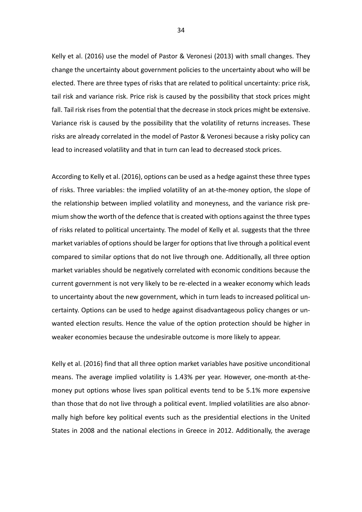Kelly et al. (2016) use the model of Pastor & Veronesi (2013) with small changes. They change the uncertainty about government policies to the uncertainty about who will be elected. There are three types of risks that are related to political uncertainty: price risk, tail risk and variance risk. Price risk is caused by the possibility that stock prices might fall. Tail risk rises from the potential that the decrease in stock prices might be extensive. Variance risk is caused by the possibility that the volatility of returns increases. These risks are already correlated in the model of Pastor & Veronesi because a risky policy can lead to increased volatility and that in turn can lead to decreased stock prices.

According to Kelly et al. (2016), options can be used as a hedge against these three types of risks. Three variables: the implied volatility of an at-the-money option, the slope of the relationship between implied volatility and moneyness, and the variance risk premium show the worth of the defence that is created with options against the three types of risks related to political uncertainty. The model of Kelly et al. suggests that the three market variables of options should be larger for options that live through a political event compared to similar options that do not live through one. Additionally, all three option market variables should be negatively correlated with economic conditions because the current government is not very likely to be re-elected in a weaker economy which leads to uncertainty about the new government, which in turn leads to increased political uncertainty. Options can be used to hedge against disadvantageous policy changes or unwanted election results. Hence the value of the option protection should be higher in weaker economies because the undesirable outcome is more likely to appear.

Kelly et al. (2016) find that all three option market variables have positive unconditional means. The average implied volatility is 1.43% per year. However, one-month at-themoney put options whose lives span political events tend to be 5.1% more expensive than those that do not live through a political event. Implied volatilities are also abnormally high before key political events such as the presidential elections in the United States in 2008 and the national elections in Greece in 2012. Additionally, the average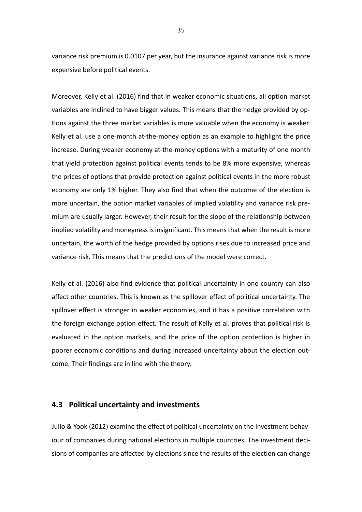variance risk premium is 0.0107 per year, but the insurance against variance risk is more expensive before political events.

Moreover, Kelly et al. (2016) find that in weaker economic situations, all option market variables are inclined to have bigger values. This means that the hedge provided by options against the three market variables is more valuable when the economy is weaker. Kelly et al. use a one-month at-the-money option as an example to highlight the price increase. During weaker economy at-the-money options with a maturity of one month that yield protection against political events tends to be 8% more expensive, whereas the prices of options that provide protection against political events in the more robust economy are only 1% higher. They also find that when the outcome of the election is more uncertain, the option market variables of implied volatility and variance risk premium are usually larger. However, their result for the slope of the relationship between implied volatility and moneyness is insignificant. This means that when the result is more uncertain, the worth of the hedge provided by options rises due to increased price and variance risk. This means that the predictions of the model were correct.

Kelly et al. (2016) also find evidence that political uncertainty in one country can also affect other countries. This is known as the spillover effect of political uncertainty. The spillover effect is stronger in weaker economies, and it has a positive correlation with the foreign exchange option effect. The result of Kelly et al. proves that political risk is evaluated in the option markets, and the price of the option protection is higher in poorer economic conditions and during increased uncertainty about the election outcome. Their findings are in line with the theory.

### <span id="page-34-0"></span>**4.3 Political uncertainty and investments**

Julio & Yook (2012) examine the effect of political uncertainty on the investment behaviour of companies during national elections in multiple countries. The investment decisions of companies are affected by elections since the results of the election can change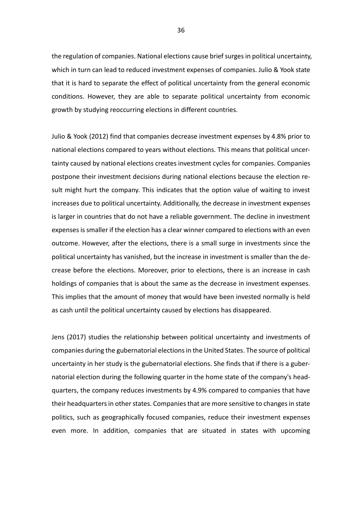the regulation of companies. National elections cause brief surges in political uncertainty, which in turn can lead to reduced investment expenses of companies. Julio & Yook state that it is hard to separate the effect of political uncertainty from the general economic conditions. However, they are able to separate political uncertainty from economic growth by studying reoccurring elections in different countries.

Julio & Yook (2012) find that companies decrease investment expenses by 4.8% prior to national elections compared to years without elections. This means that political uncertainty caused by national elections creates investment cycles for companies. Companies postpone their investment decisions during national elections because the election result might hurt the company. This indicates that the option value of waiting to invest increases due to political uncertainty. Additionally, the decrease in investment expenses is larger in countries that do not have a reliable government. The decline in investment expenses is smaller if the election has a clear winner compared to elections with an even outcome. However, after the elections, there is a small surge in investments since the political uncertainty has vanished, but the increase in investment is smaller than the decrease before the elections. Moreover, prior to elections, there is an increase in cash holdings of companies that is about the same as the decrease in investment expenses. This implies that the amount of money that would have been invested normally is held as cash until the political uncertainty caused by elections has disappeared.

Jens (2017) studies the relationship between political uncertainty and investments of companies during the gubernatorial elections in the United States. The source of political uncertainty in her study is the gubernatorial elections. She finds that if there is a gubernatorial election during the following quarter in the home state of the company's headquarters, the company reduces investments by 4.9% compared to companies that have their headquarters in other states. Companies that are more sensitive to changes in state politics, such as geographically focused companies, reduce their investment expenses even more. In addition, companies that are situated in states with upcoming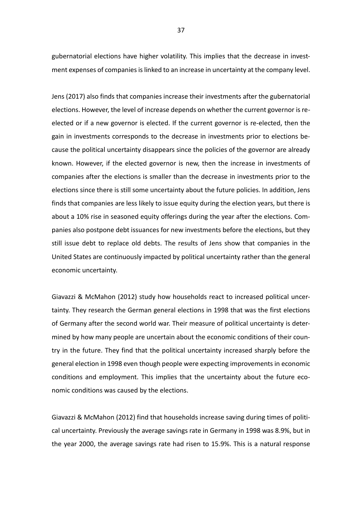gubernatorial elections have higher volatility. This implies that the decrease in investment expenses of companies is linked to an increase in uncertainty at the company level.

Jens (2017) also finds that companies increase their investments after the gubernatorial elections. However, the level of increase depends on whether the current governor is reelected or if a new governor is elected. If the current governor is re-elected, then the gain in investments corresponds to the decrease in investments prior to elections because the political uncertainty disappears since the policies of the governor are already known. However, if the elected governor is new, then the increase in investments of companies after the elections is smaller than the decrease in investments prior to the elections since there is still some uncertainty about the future policies. In addition, Jens finds that companies are less likely to issue equity during the election years, but there is about a 10% rise in seasoned equity offerings during the year after the elections. Companies also postpone debt issuances for new investments before the elections, but they still issue debt to replace old debts. The results of Jens show that companies in the United States are continuously impacted by political uncertainty rather than the general economic uncertainty.

Giavazzi & McMahon (2012) study how households react to increased political uncertainty. They research the German general elections in 1998 that was the first elections of Germany after the second world war. Their measure of political uncertainty is determined by how many people are uncertain about the economic conditions of their country in the future. They find that the political uncertainty increased sharply before the general election in 1998 even though people were expecting improvements in economic conditions and employment. This implies that the uncertainty about the future economic conditions was caused by the elections.

Giavazzi & McMahon (2012) find that households increase saving during times of political uncertainty. Previously the average savings rate in Germany in 1998 was 8.9%, but in the year 2000, the average savings rate had risen to 15.9%. This is a natural response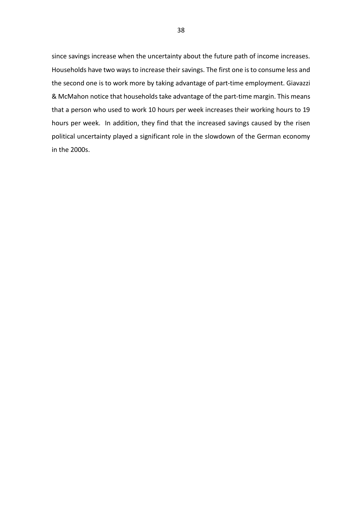since savings increase when the uncertainty about the future path of income increases. Households have two ways to increase their savings. The first one is to consume less and the second one is to work more by taking advantage of part-time employment. Giavazzi & McMahon notice that households take advantage of the part-time margin. This means that a person who used to work 10 hours per week increases their working hours to 19 hours per week. In addition, they find that the increased savings caused by the risen political uncertainty played a significant role in the slowdown of the German economy in the 2000s.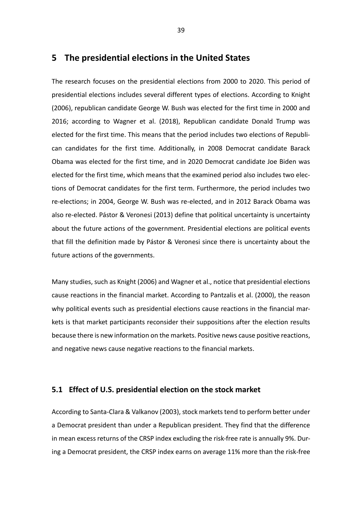# **5 The presidential elections in the United States**

The research focuses on the presidential elections from 2000 to 2020. This period of presidential elections includes several different types of elections. According to Knight (2006), republican candidate George W. Bush was elected for the first time in 2000 and 2016; according to Wagner et al. (2018), Republican candidate Donald Trump was elected for the first time. This means that the period includes two elections of Republican candidates for the first time. Additionally, in 2008 Democrat candidate Barack Obama was elected for the first time, and in 2020 Democrat candidate Joe Biden was elected for the first time, which means that the examined period also includes two elections of Democrat candidates for the first term. Furthermore, the period includes two re-elections; in 2004, George W. Bush was re-elected, and in 2012 Barack Obama was also re-elected. Pástor & Veronesi (2013) define that political uncertainty is uncertainty about the future actions of the government. Presidential elections are political events that fill the definition made by Pástor & Veronesi since there is uncertainty about the future actions of the governments.

Many studies, such as Knight (2006) and Wagner et al., notice that presidential elections cause reactions in the financial market. According to Pantzalis et al. (2000), the reason why political events such as presidential elections cause reactions in the financial markets is that market participants reconsider their suppositions after the election results because there is new information on the markets. Positive news cause positive reactions, and negative news cause negative reactions to the financial markets.

# **5.1 Effect of U.S. presidential election on the stock market**

According to Santa-Clara & Valkanov (2003), stock markets tend to perform better under a Democrat president than under a Republican president. They find that the difference in mean excess returns of the CRSP index excluding the risk-free rate is annually 9%. During a Democrat president, the CRSP index earns on average 11% more than the risk-free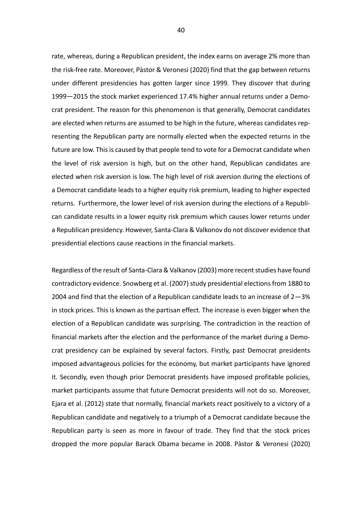rate, whereas, during a Republican president, the index earns on average 2% more than the risk-free rate. Moreover, Pàstor & Veronesi (2020) find that the gap between returns under different presidencies has gotten larger since 1999. They discover that during 1999—2015 the stock market experienced 17.4% higher annual returns under a Democrat president. The reason for this phenomenon is that generally, Democrat candidates are elected when returns are assumed to be high in the future, whereas candidates representing the Republican party are normally elected when the expected returns in the future are low. This is caused by that people tend to vote for a Democrat candidate when the level of risk aversion is high, but on the other hand, Republican candidates are elected when risk aversion is low. The high level of risk aversion during the elections of a Democrat candidate leads to a higher equity risk premium, leading to higher expected returns. Furthermore, the lower level of risk aversion during the elections of a Republican candidate results in a lower equity risk premium which causes lower returns under a Republican presidency. However, Santa-Clara & Valkonov do not discover evidence that presidential elections cause reactions in the financial markets.

Regardless of the result of Santa-Clara & Valkanov (2003) more recent studies have found contradictory evidence. Snowberg et al. (2007) study presidential elections from 1880 to 2004 and find that the election of a Republican candidate leads to an increase of  $2-3%$ in stock prices. This is known as the partisan effect. The increase is even bigger when the election of a Republican candidate was surprising. The contradiction in the reaction of financial markets after the election and the performance of the market during a Democrat presidency can be explained by several factors. Firstly, past Democrat presidents imposed advantageous policies for the economy, but market participants have ignored it. Secondly, even though prior Democrat presidents have imposed profitable policies, market participants assume that future Democrat presidents will not do so. Moreover, Ejara et al. (2012) state that normally, financial markets react positively to a victory of a Republican candidate and negatively to a triumph of a Democrat candidate because the Republican party is seen as more in favour of trade. They find that the stock prices dropped the more popular Barack Obama became in 2008. Pàstor & Veronesi (2020)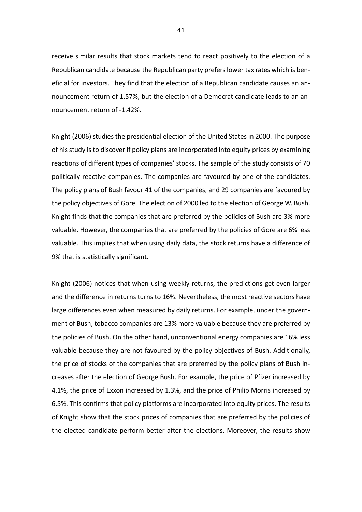receive similar results that stock markets tend to react positively to the election of a Republican candidate because the Republican party prefers lower tax rates which is beneficial for investors. They find that the election of a Republican candidate causes an announcement return of 1.57%, but the election of a Democrat candidate leads to an announcement return of -1.42%.

Knight (2006) studies the presidential election of the United States in 2000. The purpose of his study is to discover if policy plans are incorporated into equity prices by examining reactions of different types of companies' stocks. The sample of the study consists of 70 politically reactive companies. The companies are favoured by one of the candidates. The policy plans of Bush favour 41 of the companies, and 29 companies are favoured by the policy objectives of Gore. The election of 2000 led to the election of George W. Bush. Knight finds that the companies that are preferred by the policies of Bush are 3% more valuable. However, the companies that are preferred by the policies of Gore are 6% less valuable. This implies that when using daily data, the stock returns have a difference of 9% that is statistically significant.

Knight (2006) notices that when using weekly returns, the predictions get even larger and the difference in returns turns to 16%. Nevertheless, the most reactive sectors have large differences even when measured by daily returns. For example, under the government of Bush, tobacco companies are 13% more valuable because they are preferred by the policies of Bush. On the other hand, unconventional energy companies are 16% less valuable because they are not favoured by the policy objectives of Bush. Additionally, the price of stocks of the companies that are preferred by the policy plans of Bush increases after the election of George Bush. For example, the price of Pfizer increased by 4.1%, the price of Exxon increased by 1.3%, and the price of Philip Morris increased by 6.5%. This confirms that policy platforms are incorporated into equity prices. The results of Knight show that the stock prices of companies that are preferred by the policies of the elected candidate perform better after the elections. Moreover, the results show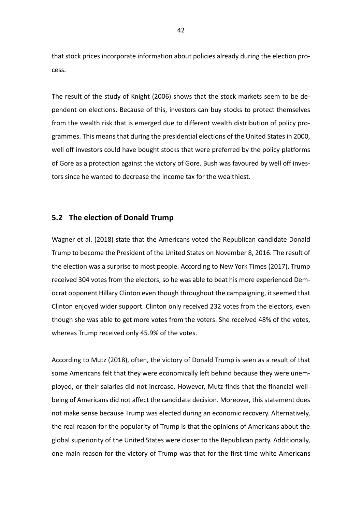that stock prices incorporate information about policies already during the election process.

The result of the study of Knight (2006) shows that the stock markets seem to be dependent on elections. Because of this, investors can buy stocks to protect themselves from the wealth risk that is emerged due to different wealth distribution of policy programmes. This means that during the presidential elections of the United States in 2000, well off investors could have bought stocks that were preferred by the policy platforms of Gore as a protection against the victory of Gore. Bush was favoured by well off investors since he wanted to decrease the income tax for the wealthiest.

## **5.2 The election of Donald Trump**

Wagner et al. (2018) state that the Americans voted the Republican candidate Donald Trump to become the President of the United States on November 8, 2016. The result of the election was a surprise to most people. According to New York Times (2017), Trump received 304 votes from the electors, so he was able to beat his more experienced Democrat opponent Hillary Clinton even though throughout the campaigning, it seemed that Clinton enjoyed wider support. Clinton only received 232 votes from the electors, even though she was able to get more votes from the voters. She received 48% of the votes, whereas Trump received only 45.9% of the votes.

According to Mutz (2018), often, the victory of Donald Trump is seen as a result of that some Americans felt that they were economically left behind because they were unemployed, or their salaries did not increase. However, Mutz finds that the financial wellbeing of Americans did not affect the candidate decision. Moreover, this statement does not make sense because Trump was elected during an economic recovery. Alternatively, the real reason for the popularity of Trump is that the opinions of Americans about the global superiority of the United States were closer to the Republican party. Additionally, one main reason for the victory of Trump was that for the first time white Americans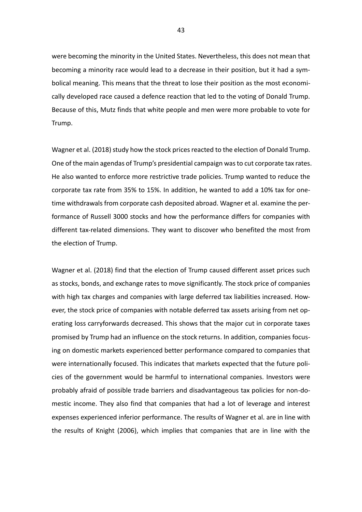were becoming the minority in the United States. Nevertheless, this does not mean that becoming a minority race would lead to a decrease in their position, but it had a symbolical meaning. This means that the threat to lose their position as the most economically developed race caused a defence reaction that led to the voting of Donald Trump. Because of this, Mutz finds that white people and men were more probable to vote for Trump.

Wagner et al. (2018) study how the stock prices reacted to the election of Donald Trump. One of the main agendas of Trump's presidential campaign was to cut corporate tax rates. He also wanted to enforce more restrictive trade policies. Trump wanted to reduce the corporate tax rate from 35% to 15%. In addition, he wanted to add a 10% tax for onetime withdrawals from corporate cash deposited abroad. Wagner et al. examine the performance of Russell 3000 stocks and how the performance differs for companies with different tax-related dimensions. They want to discover who benefited the most from the election of Trump.

Wagner et al. (2018) find that the election of Trump caused different asset prices such as stocks, bonds, and exchange rates to move significantly. The stock price of companies with high tax charges and companies with large deferred tax liabilities increased. However, the stock price of companies with notable deferred tax assets arising from net operating loss carryforwards decreased. This shows that the major cut in corporate taxes promised by Trump had an influence on the stock returns. In addition, companies focusing on domestic markets experienced better performance compared to companies that were internationally focused. This indicates that markets expected that the future policies of the government would be harmful to international companies. Investors were probably afraid of possible trade barriers and disadvantageous tax policies for non-domestic income. They also find that companies that had a lot of leverage and interest expenses experienced inferior performance. The results of Wagner et al. are in line with the results of Knight (2006), which implies that companies that are in line with the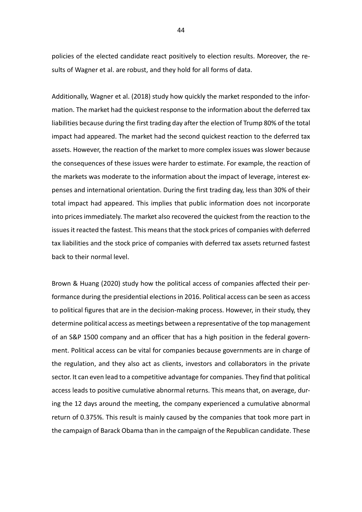policies of the elected candidate react positively to election results. Moreover, the results of Wagner et al. are robust, and they hold for all forms of data.

Additionally, Wagner et al. (2018) study how quickly the market responded to the information. The market had the quickest response to the information about the deferred tax liabilities because during the first trading day after the election of Trump 80% of the total impact had appeared. The market had the second quickest reaction to the deferred tax assets. However, the reaction of the market to more complex issues was slower because the consequences of these issues were harder to estimate. For example, the reaction of the markets was moderate to the information about the impact of leverage, interest expenses and international orientation. During the first trading day, less than 30% of their total impact had appeared. This implies that public information does not incorporate into prices immediately. The market also recovered the quickest from the reaction to the issues it reacted the fastest. This means that the stock prices of companies with deferred tax liabilities and the stock price of companies with deferred tax assets returned fastest back to their normal level.

Brown & Huang (2020) study how the political access of companies affected their performance during the presidential elections in 2016. Political access can be seen as access to political figures that are in the decision-making process. However, in their study, they determine political access as meetings between a representative of the top management of an S&P 1500 company and an officer that has a high position in the federal government. Political access can be vital for companies because governments are in charge of the regulation, and they also act as clients, investors and collaborators in the private sector. It can even lead to a competitive advantage for companies. They find that political access leads to positive cumulative abnormal returns. This means that, on average, during the 12 days around the meeting, the company experienced a cumulative abnormal return of 0.375%. This result is mainly caused by the companies that took more part in the campaign of Barack Obama than in the campaign of the Republican candidate. These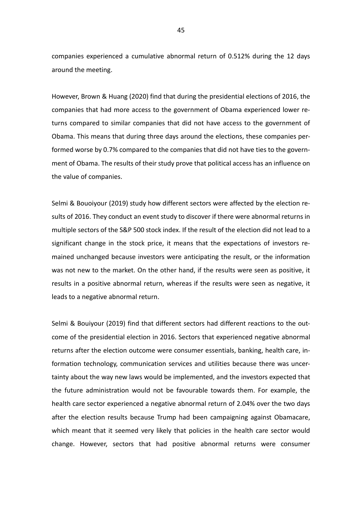companies experienced a cumulative abnormal return of 0.512% during the 12 days around the meeting.

However, Brown & Huang (2020) find that during the presidential elections of 2016, the companies that had more access to the government of Obama experienced lower returns compared to similar companies that did not have access to the government of Obama. This means that during three days around the elections, these companies performed worse by 0.7% compared to the companies that did not have ties to the government of Obama. The results of their study prove that political access has an influence on the value of companies.

Selmi & Bouoiyour (2019) study how different sectors were affected by the election results of 2016. They conduct an event study to discover if there were abnormal returns in multiple sectors of the S&P 500 stock index. If the result of the election did not lead to a significant change in the stock price, it means that the expectations of investors remained unchanged because investors were anticipating the result, or the information was not new to the market. On the other hand, if the results were seen as positive, it results in a positive abnormal return, whereas if the results were seen as negative, it leads to a negative abnormal return.

Selmi & Bouiyour (2019) find that different sectors had different reactions to the outcome of the presidential election in 2016. Sectors that experienced negative abnormal returns after the election outcome were consumer essentials, banking, health care, information technology, communication services and utilities because there was uncertainty about the way new laws would be implemented, and the investors expected that the future administration would not be favourable towards them. For example, the health care sector experienced a negative abnormal return of 2.04% over the two days after the election results because Trump had been campaigning against Obamacare, which meant that it seemed very likely that policies in the health care sector would change. However, sectors that had positive abnormal returns were consumer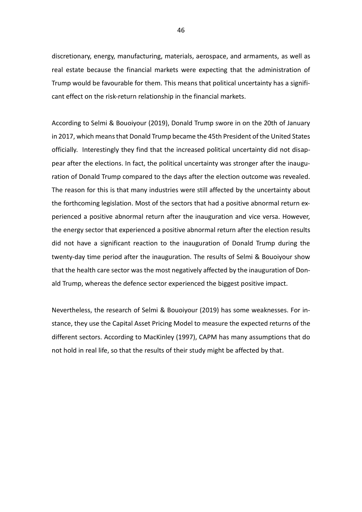discretionary, energy, manufacturing, materials, aerospace, and armaments, as well as real estate because the financial markets were expecting that the administration of Trump would be favourable for them. This means that political uncertainty has a significant effect on the risk-return relationship in the financial markets.

According to Selmi & Bouoiyour (2019), Donald Trump swore in on the 20th of January in 2017, which means that Donald Trump became the 45th President of the United States officially. Interestingly they find that the increased political uncertainty did not disappear after the elections. In fact, the political uncertainty was stronger after the inauguration of Donald Trump compared to the days after the election outcome was revealed. The reason for this is that many industries were still affected by the uncertainty about the forthcoming legislation. Most of the sectors that had a positive abnormal return experienced a positive abnormal return after the inauguration and vice versa. However, the energy sector that experienced a positive abnormal return after the election results did not have a significant reaction to the inauguration of Donald Trump during the twenty-day time period after the inauguration. The results of Selmi & Bouoiyour show that the health care sector was the most negatively affected by the inauguration of Donald Trump, whereas the defence sector experienced the biggest positive impact.

Nevertheless, the research of Selmi & Bouoiyour (2019) has some weaknesses. For instance, they use the Capital Asset Pricing Model to measure the expected returns of the different sectors. According to MacKinley (1997), CAPM has many assumptions that do not hold in real life, so that the results of their study might be affected by that.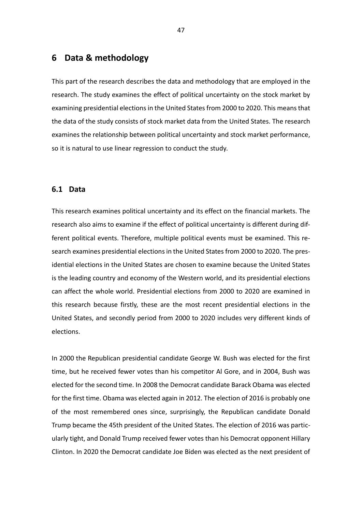# **6 Data & methodology**

This part of the research describes the data and methodology that are employed in the research. The study examines the effect of political uncertainty on the stock market by examining presidential elections in the United States from 2000 to 2020. This means that the data of the study consists of stock market data from the United States. The research examines the relationship between political uncertainty and stock market performance, so it is natural to use linear regression to conduct the study.

## **6.1 Data**

This research examines political uncertainty and its effect on the financial markets. The research also aims to examine if the effect of political uncertainty is different during different political events. Therefore, multiple political events must be examined. This research examines presidential elections in the United States from 2000 to 2020. The presidential elections in the United States are chosen to examine because the United States is the leading country and economy of the Western world, and its presidential elections can affect the whole world. Presidential elections from 2000 to 2020 are examined in this research because firstly, these are the most recent presidential elections in the United States, and secondly period from 2000 to 2020 includes very different kinds of elections.

In 2000 the Republican presidential candidate George W. Bush was elected for the first time, but he received fewer votes than his competitor Al Gore, and in 2004, Bush was elected for the second time. In 2008 the Democrat candidate Barack Obama was elected for the first time. Obama was elected again in 2012. The election of 2016 is probably one of the most remembered ones since, surprisingly, the Republican candidate Donald Trump became the 45th president of the United States. The election of 2016 was particularly tight, and Donald Trump received fewer votes than his Democrat opponent Hillary Clinton. In 2020 the Democrat candidate Joe Biden was elected as the next president of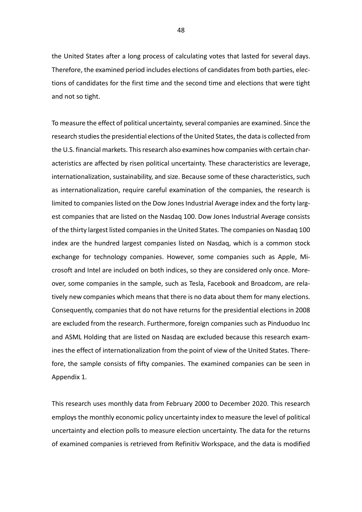the United States after a long process of calculating votes that lasted for several days. Therefore, the examined period includes elections of candidates from both parties, elections of candidates for the first time and the second time and elections that were tight and not so tight.

To measure the effect of political uncertainty, several companies are examined. Since the research studies the presidential elections of the United States, the data is collected from the U.S. financial markets. This research also examines how companies with certain characteristics are affected by risen political uncertainty. These characteristics are leverage, internationalization, sustainability, and size. Because some of these characteristics, such as internationalization, require careful examination of the companies, the research is limited to companies listed on the Dow Jones Industrial Average index and the forty largest companies that are listed on the Nasdaq 100. Dow Jones Industrial Average consists of the thirty largest listed companies in the United States. The companies on Nasdaq 100 index are the hundred largest companies listed on Nasdaq, which is a common stock exchange for technology companies. However, some companies such as Apple, Microsoft and Intel are included on both indices, so they are considered only once. Moreover, some companies in the sample, such as Tesla, Facebook and Broadcom, are relatively new companies which means that there is no data about them for many elections. Consequently, companies that do not have returns for the presidential elections in 2008 are excluded from the research. Furthermore, foreign companies such as Pinduoduo Inc and ASML Holding that are listed on Nasdaq are excluded because this research examines the effect of internationalization from the point of view of the United States. Therefore, the sample consists of fifty companies. The examined companies can be seen in Appendix 1.

This research uses monthly data from February 2000 to December 2020. This research employs the monthly economic policy uncertainty index to measure the level of political uncertainty and election polls to measure election uncertainty. The data for the returns of examined companies is retrieved from Refinitiv Workspace, and the data is modified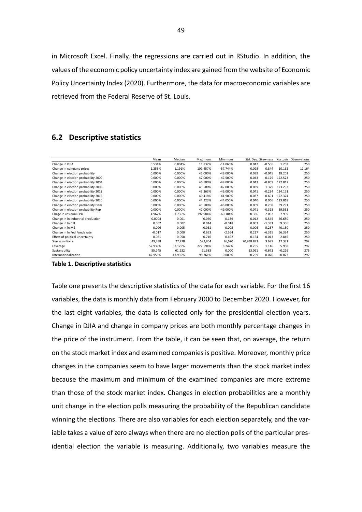in Microsoft Excel. Finally, the regressions are carried out in RStudio. In addition, the values of the economic policy uncertainty index are gained from the website of Economic Policy Uncertainty Index (2020). Furthermore, the data for macroeconomic variables are retrieved from the Federal Reserve of St. Louis.

# **6.2 Descriptive statistics**

|                                     | Mean     | Median    | Maximum  | Minimum     |            | Std. Dev. Skewness |          | Kurtosis Observations |
|-------------------------------------|----------|-----------|----------|-------------|------------|--------------------|----------|-----------------------|
| Change in DJIA                      | 0.534%   | 0.804%    | 11.837%  | $-14.060%$  | 0.042      | $-0.506$           | 1.202    | 250                   |
| Change in company prices            | 1.255%   | 1.191%    | 109.457% | $-57.744%$  | 0.098      | 0.844              | 10.162   | 12,164                |
| Change in election probability      | 0.000%   | 0.000%    | 47.000%  | $-49.000%$  | 0.099      | $-0.045$           | 18.202   | 250                   |
| Change in election probability 2000 | 0.000%   | 0.000%    | 47.000%  | $-47.500%$  | 0.043      | $-0.179$           | 122.523  | 250                   |
| Change in election probability 2004 | 0.000%   | 0.000%    | 46.500%  | -49.000%    | 0.043      | $-0.869$           | 122.817  | 250                   |
| Change in election probability 2008 | 0.000%   | 0.000%    | 45.500%  | $-42.000\%$ | 0.039      | 1.329              | 123.293  | 250                   |
| Change in election probability 2012 | 0.000%   | 0.000%    | 45.363%  | $-46.000%$  | 0.041      | $-0.234$           | 124.191  | 250                   |
| Change in election probability 2016 | 0.000%   | 0.000%    | 40.418%  | $-41.900%$  | 0.037      | $-0.601$           | 122.374  | 250                   |
| Change in election probability 2020 | 0.000%   | 0.000%    | 44.223%  | $-44.050%$  | 0.040      | 0.066              | 123.818  | 250                   |
| Change in election probability Dem  | 0.000%   | 0.000%    | 45.500%  | $-46.000%$  | 0.069      | 0.208              | 39.291   | 250                   |
| Change in election probability Rep  | 0.000%   | 0.000%    | 47.000%  | $-49.000\%$ | 0.071      | $-0.318$           | 39.531   | 250                   |
| Chage in residual EPU               | 4.962%   | $-1.736%$ | 192.984% | $-60.104%$  | 0.336      | 2.092              | 7.959    | 250                   |
| Change in In industrial production  | 0.0004   | 0.001     | 0.060    | $-0.136$    | 0.012      | $-5.545$           | 66.680   | 250                   |
| Change in In CPI                    | 0.002    | 0.002     | 0.014    | $-0.018$    | 0.003      | $-1.331$           | 9.356    | 250                   |
| Change in In M2                     | 0.006    | 0.005     | 0.062    | $-0.005$    | 0.006      | 5.257              | 40.150   | 250                   |
| Change in In Fed Funds rate         | $-0.017$ | 0.000     | 0.693    | $-2.564$    | 0.227      | $-6.315$           | 66.394   | 250                   |
| Effect of political uncertainty     | $-0.081$ | $-0.058$  | 0.716    | $-0.692$    | 0.164      | $-0.013$           | 2.845    | 250                   |
| Size in millions                    | 49,438   | 27,278    | 523,964  | 26,620      | 70,938.873 | 3.699              | 17.371   | 292                   |
| Leverage                            | 57.939%  | 57.129%   | 227.594% | 8.247%      | 0.255      | 1.146              | 5.968    | 292                   |
| Sustanability                       | 55.745   | 61.232    | 91.583   | 0.000       | 23.061     | $-0.672$           | $-0.226$ | 275                   |
| Internationalization                | 42.955%  | 43.939%   | 98.361%  | 0.000%      | 0.259      | 0.076              | $-0.823$ | 292                   |

**Table 1. Descriptive statistics**

Table one presents the descriptive statistics of the data for each variable. For the first 16 variables, the data is monthly data from February 2000 to December 2020. However, for the last eight variables, the data is collected only for the presidential election years. Change in DJIA and change in company prices are both monthly percentage changes in the price of the instrument. From the table, it can be seen that, on average, the return on the stock market index and examined companies is positive. Moreover, monthly price changes in the companies seem to have larger movements than the stock market index because the maximum and minimum of the examined companies are more extreme than those of the stock market index. Changes in election probabilities are a monthly unit change in the election polls measuring the probability of the Republican candidate winning the elections. There are also variables for each election separately, and the variable takes a value of zero always when there are no election polls of the particular presidential election the variable is measuring. Additionally, two variables measure the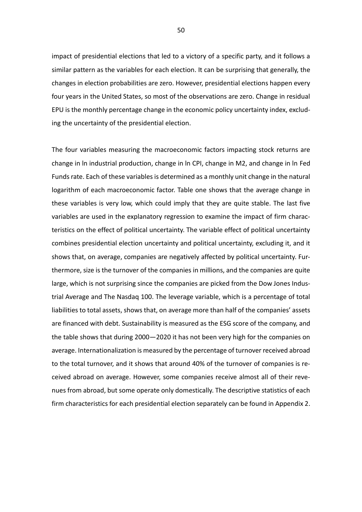impact of presidential elections that led to a victory of a specific party, and it follows a similar pattern as the variables for each election. It can be surprising that generally, the changes in election probabilities are zero. However, presidential elections happen every four years in the United States, so most of the observations are zero. Change in residual EPU is the monthly percentage change in the economic policy uncertainty index, excluding the uncertainty of the presidential election.

The four variables measuring the macroeconomic factors impacting stock returns are change in ln industrial production, change in ln CPI, change in M2, and change in ln Fed Funds rate. Each of these variables is determined as a monthly unit change in the natural logarithm of each macroeconomic factor. Table one shows that the average change in these variables is very low, which could imply that they are quite stable. The last five variables are used in the explanatory regression to examine the impact of firm characteristics on the effect of political uncertainty. The variable effect of political uncertainty combines presidential election uncertainty and political uncertainty, excluding it, and it shows that, on average, companies are negatively affected by political uncertainty. Furthermore, size is the turnover of the companies in millions, and the companies are quite large, which is not surprising since the companies are picked from the Dow Jones Industrial Average and The Nasdaq 100. The leverage variable, which is a percentage of total liabilities to total assets, shows that, on average more than half of the companies' assets are financed with debt. Sustainability is measured as the ESG score of the company, and the table shows that during 2000—2020 it has not been very high for the companies on average. Internationalization is measured by the percentage of turnover received abroad to the total turnover, and it shows that around 40% of the turnover of companies is received abroad on average. However, some companies receive almost all of their revenues from abroad, but some operate only domestically. The descriptive statistics of each firm characteristics for each presidential election separately can be found in Appendix 2.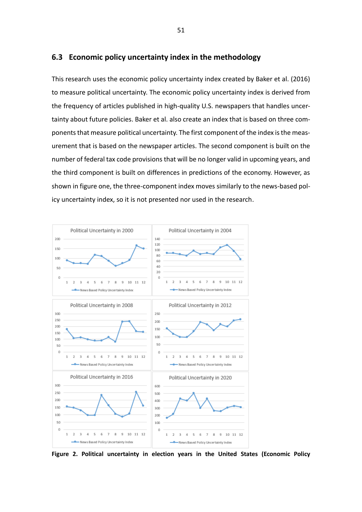## **6.3 Economic policy uncertainty index in the methodology**

This research uses the economic policy uncertainty index created by Baker et al. (2016) to measure political uncertainty. The economic policy uncertainty index is derived from the frequency of articles published in high-quality U.S. newspapers that handles uncertainty about future policies. Baker et al. also create an index that is based on three components that measure political uncertainty. The first component of the index is the measurement that is based on the newspaper articles. The second component is built on the number of federal tax code provisions that will be no longer valid in upcoming years, and the third component is built on differences in predictions of the economy. However, as shown in figure one, the three-component index moves similarly to the news-based policy uncertainty index, so it is not presented nor used in the research.



**Figure 2. Political uncertainty in election years in the United States (Economic Policy**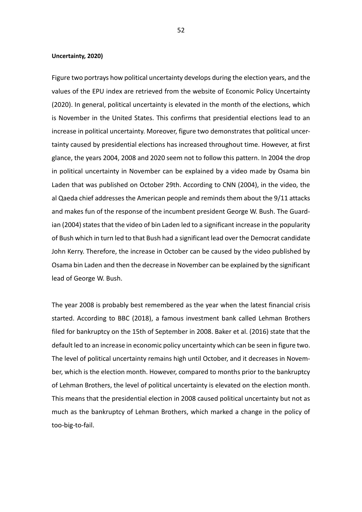#### **Uncertainty, 2020)**

Figure two portrays how political uncertainty develops during the election years, and the values of the EPU index are retrieved from the website of Economic Policy Uncertainty (2020). In general, political uncertainty is elevated in the month of the elections, which is November in the United States. This confirms that presidential elections lead to an increase in political uncertainty. Moreover, figure two demonstrates that political uncertainty caused by presidential elections has increased throughout time. However, at first glance, the years 2004, 2008 and 2020 seem not to follow this pattern. In 2004 the drop in political uncertainty in November can be explained by a video made by Osama bin Laden that was published on October 29th. According to CNN (2004), in the video, the al Qaeda chief addresses the American people and reminds them about the 9/11 attacks and makes fun of the response of the incumbent president George W. Bush. The Guardian (2004) states that the video of bin Laden led to a significant increase in the popularity of Bush which in turn led to that Bush had a significant lead over the Democrat candidate John Kerry. Therefore, the increase in October can be caused by the video published by Osama bin Laden and then the decrease in November can be explained by the significant lead of George W. Bush.

The year 2008 is probably best remembered as the year when the latest financial crisis started. According to BBC (2018), a famous investment bank called Lehman Brothers filed for bankruptcy on the 15th of September in 2008. Baker et al. (2016) state that the default led to an increase in economic policy uncertainty which can be seen in figure two. The level of political uncertainty remains high until October, and it decreases in November, which is the election month. However, compared to months prior to the bankruptcy of Lehman Brothers, the level of political uncertainty is elevated on the election month. This means that the presidential election in 2008 caused political uncertainty but not as much as the bankruptcy of Lehman Brothers, which marked a change in the policy of too-big-to-fail.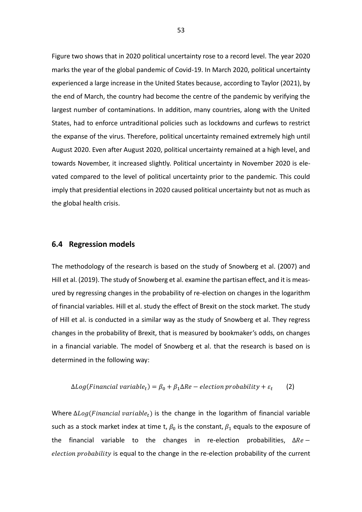Figure two shows that in 2020 political uncertainty rose to a record level. The year 2020 marks the year of the global pandemic of Covid-19. In March 2020, political uncertainty experienced a large increase in the United States because, according to Taylor (2021), by the end of March, the country had become the centre of the pandemic by verifying the largest number of contaminations. In addition, many countries, along with the United States, had to enforce untraditional policies such as lockdowns and curfews to restrict the expanse of the virus. Therefore, political uncertainty remained extremely high until August 2020. Even after August 2020, political uncertainty remained at a high level, and towards November, it increased slightly. Political uncertainty in November 2020 is elevated compared to the level of political uncertainty prior to the pandemic. This could imply that presidential elections in 2020 caused political uncertainty but not as much as the global health crisis.

## **6.4 Regression models**

The methodology of the research is based on the study of Snowberg et al. (2007) and Hill et al. (2019). The study of Snowberg et al. examine the partisan effect, and it is measured by regressing changes in the probability of re-election on changes in the logarithm of financial variables. Hill et al. study the effect of Brexit on the stock market. The study of Hill et al. is conducted in a similar way as the study of Snowberg et al. They regress changes in the probability of Brexit, that is measured by bookmaker's odds, on changes in a financial variable. The model of Snowberg et al. that the research is based on is determined in the following way:

$$
\Delta Log(Finanical\ variable_t) = \beta_0 + \beta_1 \Delta Re - electron\ probability + \varepsilon_t \tag{2}
$$

Where  $\Delta Log(Financial\ variable_t)$  is the change in the logarithm of financial variable such as a stock market index at time t,  $\beta_0$  is the constant,  $\beta_1$  equals to the exposure of the financial variable to the changes in re-election probabilities,  $\Delta Re$ election probability is equal to the change in the re-election probability of the current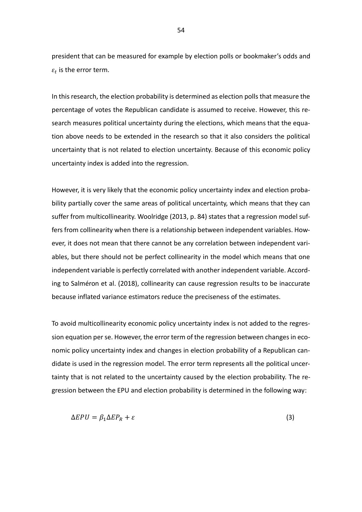president that can be measured for example by election polls or bookmaker's odds and  $\varepsilon_t$  is the error term.

In this research, the election probability is determined as election polls that measure the percentage of votes the Republican candidate is assumed to receive. However, this research measures political uncertainty during the elections, which means that the equation above needs to be extended in the research so that it also considers the political uncertainty that is not related to election uncertainty. Because of this economic policy uncertainty index is added into the regression.

However, it is very likely that the economic policy uncertainty index and election probability partially cover the same areas of political uncertainty, which means that they can suffer from multicollinearity. Woolridge (2013, p. 84) states that a regression model suffers from collinearity when there is a relationship between independent variables. However, it does not mean that there cannot be any correlation between independent variables, but there should not be perfect collinearity in the model which means that one independent variable is perfectly correlated with another independent variable. According to Salméron et al. (2018), collinearity can cause regression results to be inaccurate because inflated variance estimators reduce the preciseness of the estimates.

To avoid multicollinearity economic policy uncertainty index is not added to the regression equation per se. However, the error term of the regression between changes in economic policy uncertainty index and changes in election probability of a Republican candidate is used in the regression model. The error term represents all the political uncertainty that is not related to the uncertainty caused by the election probability. The regression between the EPU and election probability is determined in the following way:

$$
\Delta EPU = \beta_1 \Delta EP_R + \varepsilon \tag{3}
$$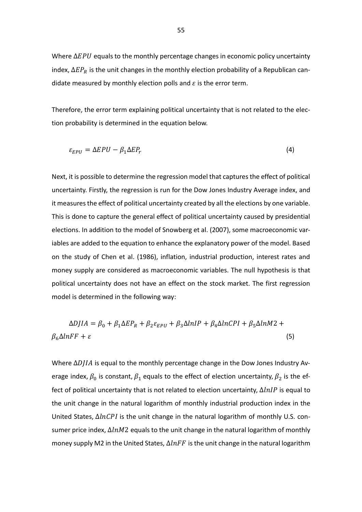Where  $\Delta EPU$  equals to the monthly percentage changes in economic policy uncertainty index,  $\Delta EP_R$  is the unit changes in the monthly election probability of a Republican candidate measured by monthly election polls and  $\varepsilon$  is the error term.

Therefore, the error term explaining political uncertainty that is not related to the election probability is determined in the equation below.

$$
\varepsilon_{EPU} = \Delta EPU - \beta_1 \Delta E P_r \tag{4}
$$

Next, it is possible to determine the regression model that captures the effect of political uncertainty. Firstly, the regression is run for the Dow Jones Industry Average index, and it measures the effect of political uncertainty created by all the elections by one variable. This is done to capture the general effect of political uncertainty caused by presidential elections. In addition to the model of Snowberg et al. (2007), some macroeconomic variables are added to the equation to enhance the explanatory power of the model. Based on the study of Chen et al. (1986), inflation, industrial production, interest rates and money supply are considered as macroeconomic variables. The null hypothesis is that political uncertainty does not have an effect on the stock market. The first regression model is determined in the following way:

$$
\Delta D J I A = \beta_0 + \beta_1 \Delta E P_R + \beta_2 \varepsilon_{EPU} + \beta_3 \Delta lnIP + \beta_4 \Delta lnCPI + \beta_5 \Delta lnM2 + \beta_6 \Delta lnFF + \varepsilon
$$
\n(5)

Where  $\Delta D I I A$  is equal to the monthly percentage change in the Dow Jones Industry Average index,  $\beta_0$  is constant,  $\beta_1$  equals to the effect of election uncertainty,  $\beta_2$  is the effect of political uncertainty that is not related to election uncertainty,  $\Delta lnIP$  is equal to the unit change in the natural logarithm of monthly industrial production index in the United States,  $\Delta ln CPI$  is the unit change in the natural logarithm of monthly U.S. consumer price index,  $\Delta lnM2$  equals to the unit change in the natural logarithm of monthly money supply M2 in the United States,  $\Delta ln FF$  is the unit change in the natural logarithm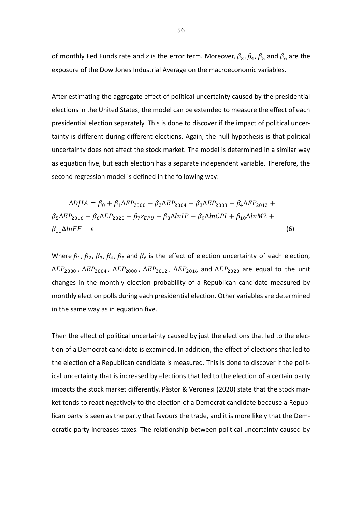of monthly Fed Funds rate and  $\varepsilon$  is the error term. Moreover,  $\beta_3$ ,  $\beta_4$ ,  $\beta_5$  and  $\beta_6$  are the exposure of the Dow Jones Industrial Average on the macroeconomic variables.

After estimating the aggregate effect of political uncertainty caused by the presidential elections in the United States, the model can be extended to measure the effect of each presidential election separately. This is done to discover if the impact of political uncertainty is different during different elections. Again, the null hypothesis is that political uncertainty does not affect the stock market. The model is determined in a similar way as equation five, but each election has a separate independent variable. Therefore, the second regression model is defined in the following way:

 $\Delta D IIA = \beta_0 + \beta_1 \Delta E P_{2000} + \beta_2 \Delta E P_{2004} + \beta_3 \Delta E P_{2008} + \beta_4 \Delta E P_{2012} +$  $\beta_5 \Delta EP_{2016} + \beta_6 \Delta EP_{2020} + \beta_7 \varepsilon_{FPII} + \beta_8 \Delta lnIP + \beta_9 \Delta lnCPI + \beta_{10} \Delta lnM2 +$  $\beta_{11}\Delta lnFF + \varepsilon$  (6)

Where  $\beta_1$ ,  $\beta_2$ ,  $\beta_3$ ,  $\beta_4$ ,  $\beta_5$  and  $\beta_6$  is the effect of election uncertainty of each election,  $\Delta EP_{2000}$ ,  $\Delta EP_{2004}$ ,  $\Delta EP_{2008}$ ,  $\Delta EP_{2012}$ ,  $\Delta EP_{2016}$  and  $\Delta EP_{2020}$  are equal to the unit changes in the monthly election probability of a Republican candidate measured by monthly election polls during each presidential election. Other variables are determined in the same way as in equation five.

Then the effect of political uncertainty caused by just the elections that led to the election of a Democrat candidate is examined. In addition, the effect of elections that led to the election of a Republican candidate is measured. This is done to discover if the political uncertainty that is increased by elections that led to the election of a certain party impacts the stock market differently. Pàstor & Veronesi (2020) state that the stock market tends to react negatively to the election of a Democrat candidate because a Republican party is seen as the party that favours the trade, and it is more likely that the Democratic party increases taxes. The relationship between political uncertainty caused by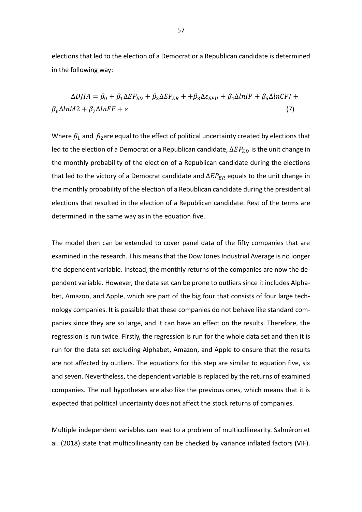elections that led to the election of a Democrat or a Republican candidate is determined in the following way:

$$
\Delta D J I A = \beta_0 + \beta_1 \Delta E P_{ED} + \beta_2 \Delta E P_{ER} + \beta_3 \Delta \varepsilon_{EPU} + \beta_4 \Delta InIP + \beta_5 \Delta InCPI +
$$
  

$$
\beta_6 \Delta InM2 + \beta_7 \Delta InFF + \varepsilon
$$
 (7)

Where  $\beta_1$  and  $\beta_2$ are equal to the effect of political uncertainty created by elections that led to the election of a Democrat or a Republican candidate,  $\Delta EP_{ED}$  is the unit change in the monthly probability of the election of a Republican candidate during the elections that led to the victory of a Democrat candidate and  $\Delta EP_{ER}$  equals to the unit change in the monthly probability of the election of a Republican candidate during the presidential elections that resulted in the election of a Republican candidate. Rest of the terms are determined in the same way as in the equation five.

The model then can be extended to cover panel data of the fifty companies that are examined in the research. This means that the Dow Jones Industrial Average is no longer the dependent variable. Instead, the monthly returns of the companies are now the dependent variable. However, the data set can be prone to outliers since it includes Alphabet, Amazon, and Apple, which are part of the big four that consists of four large technology companies. It is possible that these companies do not behave like standard companies since they are so large, and it can have an effect on the results. Therefore, the regression is run twice. Firstly, the regression is run for the whole data set and then it is run for the data set excluding Alphabet, Amazon, and Apple to ensure that the results are not affected by outliers. The equations for this step are similar to equation five, six and seven. Nevertheless, the dependent variable is replaced by the returns of examined companies. The null hypotheses are also like the previous ones, which means that it is expected that political uncertainty does not affect the stock returns of companies.

Multiple independent variables can lead to a problem of multicollinearity. Salméron et al. (2018) state that multicollinearity can be checked by variance inflated factors (VIF).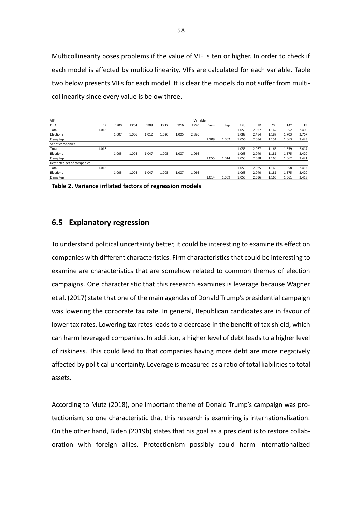Multicollinearity poses problems if the value of VIF is ten or higher. In order to check if each model is affected by multicollinearity, VIFs are calculated for each variable. Table two below presents VIFs for each model. It is clear the models do not suffer from multicollinearity since every value is below three.

| VIF                         |       |             |       |             |       |       | Variable |       |       |       |       |       |                |       |
|-----------------------------|-------|-------------|-------|-------------|-------|-------|----------|-------|-------|-------|-------|-------|----------------|-------|
| <b>DJIA</b>                 | EP    | <b>EP00</b> | EP04  | <b>EP08</b> | EP12  | EP16  | EP20     | Dem   | Rep   | EPU   | IP    | CPI   | M <sub>2</sub> | FF    |
| Total                       | 1.018 |             |       |             |       |       |          |       |       | 1.055 | 2.027 | 1.162 | 1.552          | 2.400 |
| Elections                   |       | 1.007       | 1.006 | 1.012       | 1.020 | 1.005 | 2.826    |       |       | 1.089 | 2.484 | 1.187 | 1.703          | 2.767 |
| Dem/Rep                     |       |             |       |             |       |       |          | 1.109 | 1.002 | 1.056 | 2.034 | 1.151 | 1.563          | 2.423 |
| Set of companies            |       |             |       |             |       |       |          |       |       |       |       |       |                |       |
| Total                       | 1.018 |             |       |             |       |       |          |       |       | 1.055 | 2.037 | 1.165 | 1.559          | 2.414 |
| Elections                   |       | 1.005       | 1.004 | 1.047       | 1.005 | 1.007 | 1.066    |       |       | 1.063 | 2.040 | 1.181 | 1.575          | 2.420 |
| Dem/Rep                     |       |             |       |             |       |       |          | 1.055 | 1.014 | 1.055 | 2.038 | 1.165 | 1.562          | 2.421 |
| Restricted set of companies |       |             |       |             |       |       |          |       |       |       |       |       |                |       |
| Total                       | 1.018 |             |       |             |       |       |          |       |       | 1.055 | 2.035 | 1.165 | 1.558          | 2.412 |
| Elections                   |       | 1.005       | 1.004 | 1.047       | 1.005 | 1.007 | 1.066    |       |       | 1.063 | 2.040 | 1.181 | 1.575          | 2.420 |
| Dem/Rep                     |       |             |       |             |       |       |          | 1.014 | 1.009 | 1.055 | 2.036 | 1.165 | 1.561          | 2.418 |

**Table 2. Variance inflated factors of regression models**

## **6.5 Explanatory regression**

To understand political uncertainty better, it could be interesting to examine its effect on companies with different characteristics. Firm characteristics that could be interesting to examine are characteristics that are somehow related to common themes of election campaigns. One characteristic that this research examines is leverage because Wagner et al. (2017) state that one of the main agendas of Donald Trump's presidential campaign was lowering the corporate tax rate. In general, Republican candidates are in favour of lower tax rates. Lowering tax rates leads to a decrease in the benefit of tax shield, which can harm leveraged companies. In addition, a higher level of debt leads to a higher level of riskiness. This could lead to that companies having more debt are more negatively affected by political uncertainty. Leverage is measured as a ratio of total liabilities to total assets.

According to Mutz (2018), one important theme of Donald Trump's campaign was protectionism, so one characteristic that this research is examining is internationalization. On the other hand, Biden (2019b) states that his goal as a president is to restore collaboration with foreign allies. Protectionism possibly could harm internationalized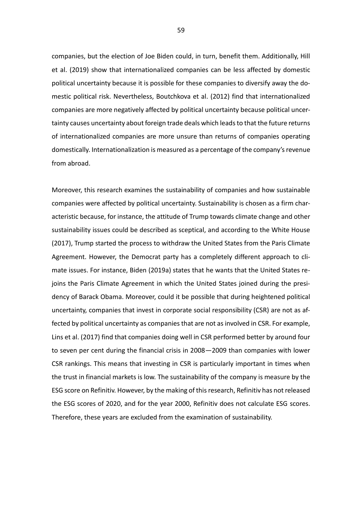companies, but the election of Joe Biden could, in turn, benefit them. Additionally, Hill et al. (2019) show that internationalized companies can be less affected by domestic political uncertainty because it is possible for these companies to diversify away the domestic political risk. Nevertheless, Boutchkova et al. (2012) find that internationalized companies are more negatively affected by political uncertainty because political uncertainty causes uncertainty about foreign trade deals which leads to that the future returns of internationalized companies are more unsure than returns of companies operating domestically. Internationalization is measured as a percentage of the company's revenue from abroad.

Moreover, this research examines the sustainability of companies and how sustainable companies were affected by political uncertainty. Sustainability is chosen as a firm characteristic because, for instance, the attitude of Trump towards climate change and other sustainability issues could be described as sceptical, and according to the White House (2017), Trump started the process to withdraw the United States from the Paris Climate Agreement. However, the Democrat party has a completely different approach to climate issues. For instance, Biden (2019a) states that he wants that the United States rejoins the Paris Climate Agreement in which the United States joined during the presidency of Barack Obama. Moreover, could it be possible that during heightened political uncertainty, companies that invest in corporate social responsibility (CSR) are not as affected by political uncertainty as companies that are not as involved in CSR. For example, Lins et al. (2017) find that companies doing well in CSR performed better by around four to seven per cent during the financial crisis in 2008—2009 than companies with lower CSR rankings. This means that investing in CSR is particularly important in times when the trust in financial markets is low. The sustainability of the company is measure by the ESG score on Refinitiv. However, by the making of this research, Refinitiv has not released the ESG scores of 2020, and for the year 2000, Refinitiv does not calculate ESG scores. Therefore, these years are excluded from the examination of sustainability.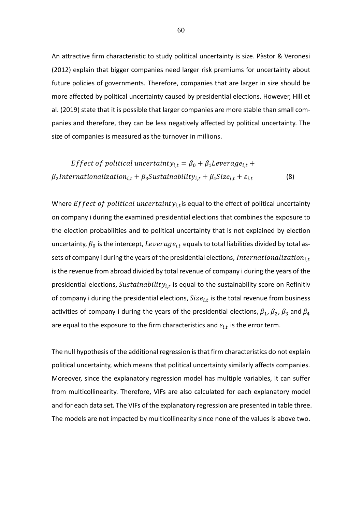An attractive firm characteristic to study political uncertainty is size. Pàstor & Veronesi (2012) explain that bigger companies need larger risk premiums for uncertainty about future policies of governments. Therefore, companies that are larger in size should be more affected by political uncertainty caused by presidential elections. However, Hill et al. (2019) state that it is possible that larger companies are more stable than small companies and therefore, they can be less negatively affected by political uncertainty. The size of companies is measured as the turnover in millions.

*Effect of political uncertainty*<sub>*i*,*t*</sub> = 
$$
\beta_0 + \beta_1
$$
*Leverage*<sub>*i*,*t*</sub> +  
 $\beta_2$ *Internationalization*<sub>*i*,*t*</sub> +  $\beta_3$ *Sustainability*<sub>*i*,*t*</sub> +  $\beta_4$ *Size*<sub>*i*,*t*</sub> +  $\varepsilon_{i.t}$  (8)

Where  $Effect of political uncertainty_{i,t}$ is equal to the effect of political uncertainty on company i during the examined presidential elections that combines the exposure to the election probabilities and to political uncertainty that is not explained by election uncertainty,  $\beta_0$  is the intercept, Leverage<sub>it</sub> equals to total liabilities divided by total assets of company i during the years of the presidential elections, Internationalization $i_{i,t}$ is the revenue from abroad divided by total revenue of company i during the years of the presidential elections,  $\textit{Sustainability}_{i,t}$  is equal to the sustainability score on Refinitiv of company i during the presidential elections,  $Size_{i,t}$  is the total revenue from business activities of company i during the years of the presidential elections,  $\beta_1$ ,  $\beta_2$ ,  $\beta_3$  and  $\beta_4$ are equal to the exposure to the firm characteristics and  $\varepsilon_{i,t}$  is the error term.

The null hypothesis of the additional regression is that firm characteristics do not explain political uncertainty, which means that political uncertainty similarly affects companies. Moreover, since the explanatory regression model has multiple variables, it can suffer from multicollinearity. Therefore, VIFs are also calculated for each explanatory model and for each data set. The VIFs of the explanatory regression are presented in table three. The models are not impacted by multicollinearity since none of the values is above two.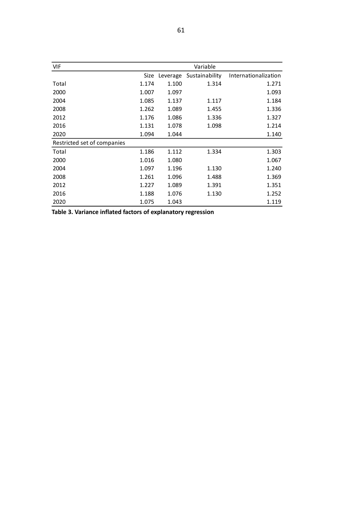| VIF                         |       |          | Variable       |                      |
|-----------------------------|-------|----------|----------------|----------------------|
|                             | Size  | Leverage | Sustainability | Internationalization |
| Total                       | 1.174 | 1.100    | 1.314          | 1.271                |
| 2000                        | 1.007 | 1.097    |                | 1.093                |
| 2004                        | 1.085 | 1.137    | 1.117          | 1.184                |
| 2008                        | 1.262 | 1.089    | 1.455          | 1.336                |
| 2012                        | 1.176 | 1.086    | 1.336          | 1.327                |
| 2016                        | 1.131 | 1.078    | 1.098          | 1.214                |
| 2020                        | 1.094 | 1.044    |                | 1.140                |
| Restricted set of companies |       |          |                |                      |
| Total                       | 1.186 | 1.112    | 1.334          | 1.303                |
| 2000                        | 1.016 | 1.080    |                | 1.067                |
| 2004                        | 1.097 | 1.196    | 1.130          | 1.240                |
| 2008                        | 1.261 | 1.096    | 1.488          | 1.369                |
| 2012                        | 1.227 | 1.089    | 1.391          | 1.351                |
| 2016                        | 1.188 | 1.076    | 1.130          | 1.252                |
| 2020                        | 1.075 | 1.043    |                | 1.119                |

**Table 3. Variance inflated factors of explanatory regression**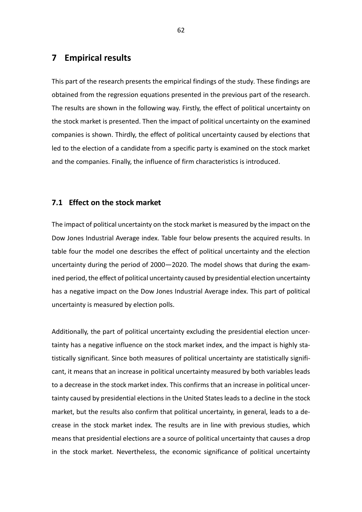# **7 Empirical results**

This part of the research presents the empirical findings of the study. These findings are obtained from the regression equations presented in the previous part of the research. The results are shown in the following way. Firstly, the effect of political uncertainty on the stock market is presented. Then the impact of political uncertainty on the examined companies is shown. Thirdly, the effect of political uncertainty caused by elections that led to the election of a candidate from a specific party is examined on the stock market and the companies. Finally, the influence of firm characteristics is introduced.

## **7.1 Effect on the stock market**

The impact of political uncertainty on the stock market is measured by the impact on the Dow Jones Industrial Average index. Table four below presents the acquired results. In table four the model one describes the effect of political uncertainty and the election uncertainty during the period of 2000—2020. The model shows that during the examined period, the effect of political uncertainty caused by presidential election uncertainty has a negative impact on the Dow Jones Industrial Average index. This part of political uncertainty is measured by election polls.

Additionally, the part of political uncertainty excluding the presidential election uncertainty has a negative influence on the stock market index, and the impact is highly statistically significant. Since both measures of political uncertainty are statistically significant, it means that an increase in political uncertainty measured by both variables leads to a decrease in the stock market index. This confirms that an increase in political uncertainty caused by presidential elections in the United States leads to a decline in the stock market, but the results also confirm that political uncertainty, in general, leads to a decrease in the stock market index. The results are in line with previous studies, which means that presidential elections are a source of political uncertainty that causes a drop in the stock market. Nevertheless, the economic significance of political uncertainty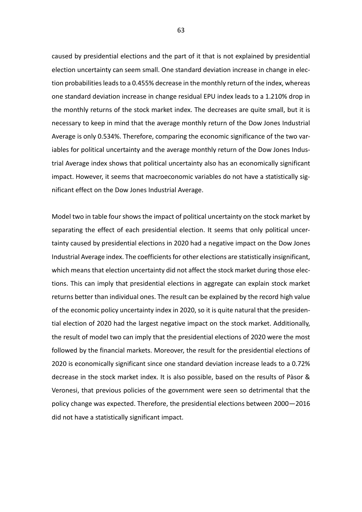caused by presidential elections and the part of it that is not explained by presidential election uncertainty can seem small. One standard deviation increase in change in election probabilities leads to a 0.455% decrease in the monthly return of the index, whereas one standard deviation increase in change residual EPU index leads to a 1.210% drop in the monthly returns of the stock market index. The decreases are quite small, but it is necessary to keep in mind that the average monthly return of the Dow Jones Industrial Average is only 0.534%. Therefore, comparing the economic significance of the two variables for political uncertainty and the average monthly return of the Dow Jones Industrial Average index shows that political uncertainty also has an economically significant impact. However, it seems that macroeconomic variables do not have a statistically significant effect on the Dow Jones Industrial Average.

Model two in table four shows the impact of political uncertainty on the stock market by separating the effect of each presidential election. It seems that only political uncertainty caused by presidential elections in 2020 had a negative impact on the Dow Jones Industrial Average index. The coefficients for other elections are statistically insignificant, which means that election uncertainty did not affect the stock market during those elections. This can imply that presidential elections in aggregate can explain stock market returns better than individual ones. The result can be explained by the record high value of the economic policy uncertainty index in 2020, so it is quite natural that the presidential election of 2020 had the largest negative impact on the stock market. Additionally, the result of model two can imply that the presidential elections of 2020 were the most followed by the financial markets. Moreover, the result for the presidential elections of 2020 is economically significant since one standard deviation increase leads to a 0.72% decrease in the stock market index. It is also possible, based on the results of Pàsor & Veronesi, that previous policies of the government were seen so detrimental that the policy change was expected. Therefore, the presidential elections between 2000—2016 did not have a statistically significant impact.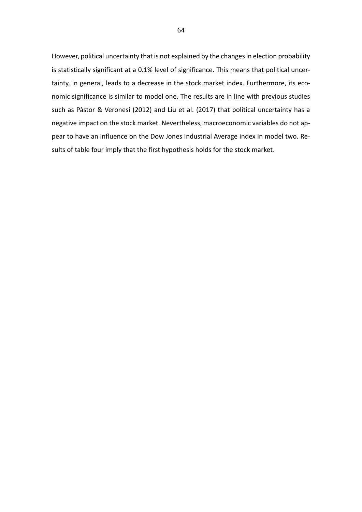However, political uncertainty that is not explained by the changes in election probability is statistically significant at a 0.1% level of significance. This means that political uncertainty, in general, leads to a decrease in the stock market index. Furthermore, its economic significance is similar to model one. The results are in line with previous studies such as Pàstor & Veronesi (2012) and Liu et al. (2017) that political uncertainty has a negative impact on the stock market. Nevertheless, macroeconomic variables do not appear to have an influence on the Dow Jones Industrial Average index in model two. Results of table four imply that the first hypothesis holds for the stock market.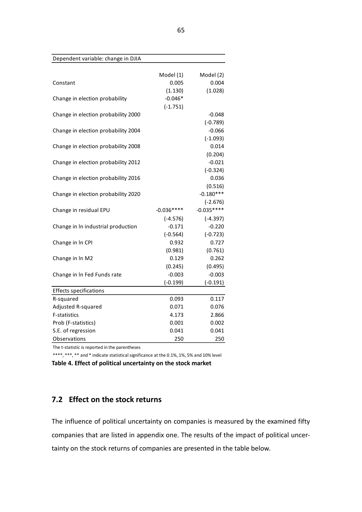| Dependent variable: change in DJIA  |             |             |
|-------------------------------------|-------------|-------------|
|                                     | Model (1)   | Model (2)   |
| Constant                            | 0.005       | 0.004       |
|                                     | (1.130)     | (1.028)     |
| Change in election probability      | $-0.046*$   |             |
|                                     | $(-1.751)$  |             |
| Change in election probability 2000 |             | $-0.048$    |
|                                     |             | $(-0.789)$  |
| Change in election probability 2004 |             | $-0.066$    |
|                                     |             | $(-1.093)$  |
| Change in election probability 2008 |             | 0.014       |
|                                     |             | (0.204)     |
| Change in election probability 2012 |             | $-0.021$    |
|                                     |             | $(-0.324)$  |
| Change in election probability 2016 |             | 0.036       |
|                                     |             | (0.516)     |
| Change in election probability 2020 |             | $-0.180***$ |
|                                     |             | $(-2.676)$  |
| Change in residual EPU              | $-0.036***$ | $-0.035***$ |
|                                     | $(-4.576)$  | $(-4.397)$  |
| Change in In industrial production  | $-0.171$    | $-0.220$    |
|                                     | $(-0.564)$  | $(-0.723)$  |
| Change in In CPI                    | 0.932       | 0.727       |
|                                     | (0.981)     | (0.761)     |
| Change in In M2                     | 0.129       | 0.262       |
|                                     | (0.245)     | (0.495)     |
| Change in In Fed Funds rate         | $-0.003$    | $-0.003$    |
|                                     | $(-0.199)$  | $(-0.191)$  |
| <b>Effects specifications</b>       |             |             |
| R-squared                           | 0.093       | 0.117       |
| Adjusted R-squared                  | 0.071       | 0.076       |
| <b>F-statistics</b>                 | 4.173       | 2.866       |
| Prob (F-statistics)                 | 0.001       | 0.002       |
| S.E. of regression                  | 0.041       | 0.041       |
| Observations                        | 250         | 250         |

The t-statistic is reported in the parentheses

\*\*\*\*, \*\*\*, \*\* and \* indicate statistical significance at the 0.1%, 1%, 5% and 10% level

**Table 4. Effect of political uncertainty on the stock market**

# **7.2 Effect on the stock returns**

The influence of political uncertainty on companies is measured by the examined fifty companies that are listed in appendix one. The results of the impact of political uncertainty on the stock returns of companies are presented in the table below.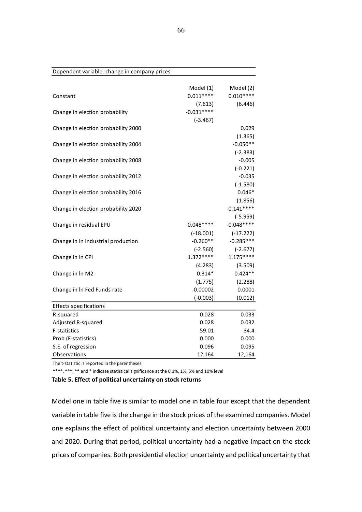| Dependent variable: change in company prices |             |             |
|----------------------------------------------|-------------|-------------|
|                                              | Model (1)   | Model (2)   |
| Constant                                     | $0.011***$  | $0.010***$  |
|                                              | (7.613)     | (6.446)     |
| Change in election probability               | $-0.031***$ |             |
|                                              | $(-3.467)$  |             |
| Change in election probability 2000          |             | 0.029       |
|                                              |             | (1.365)     |
| Change in election probability 2004          |             | $-0.050**$  |
|                                              |             | $(-2.383)$  |
| Change in election probability 2008          |             | $-0.005$    |
|                                              |             | $(-0.221)$  |
| Change in election probability 2012          |             | $-0.035$    |
|                                              |             | $(-1.580)$  |
| Change in election probability 2016          |             | $0.046*$    |
|                                              |             | (1.856)     |
| Change in election probability 2020          |             | $-0.141***$ |
|                                              |             | $(-5.959)$  |
| Change in residual EPU                       | $-0.048***$ | $-0.048***$ |
|                                              | $(-18.001)$ | $(-17.222)$ |
| Change in In industrial production           | $-0.260**$  | $-0.285***$ |
|                                              | $(-2.560)$  | $(-2.677)$  |
| Change in In CPI                             | $1.372***$  | $1.175***$  |
|                                              | (4.283)     | (3.509)     |
| Change in In M2                              | $0.314*$    | $0.424**$   |
|                                              | (1.775)     | (2.288)     |
| Change in In Fed Funds rate                  | $-0.00002$  | 0.0001      |
|                                              | $(-0.003)$  | (0.012)     |
| <b>Effects specifications</b>                |             |             |
| R-squared                                    | 0.028       | 0.033       |
| Adjusted R-squared                           | 0.028       | 0.032       |
| F-statistics                                 | 59.01       | 34.4        |
| Prob (F-statistics)                          | 0.000       | 0.000       |
| S.E. of regression                           | 0.096       | 0.095       |
| Observations                                 | 12,164      | 12,164      |

The t-statistic is reported in the parentheses

\*\*\*\*, \*\*\*, \*\* and \* indicate statistical significance at the 0.1%, 1%, 5% and 10% level

**Table 5. Effect of political uncertainty on stock returns**

Model one in table five is similar to model one in table four except that the dependent variable in table five is the change in the stock prices of the examined companies. Model one explains the effect of political uncertainty and election uncertainty between 2000 and 2020. During that period, political uncertainty had a negative impact on the stock prices of companies. Both presidential election uncertainty and political uncertainty that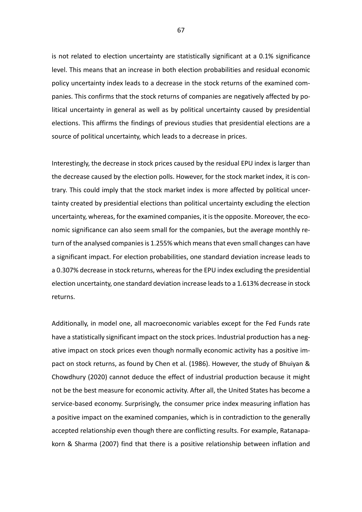is not related to election uncertainty are statistically significant at a 0.1% significance level. This means that an increase in both election probabilities and residual economic policy uncertainty index leads to a decrease in the stock returns of the examined companies. This confirms that the stock returns of companies are negatively affected by political uncertainty in general as well as by political uncertainty caused by presidential elections. This affirms the findings of previous studies that presidential elections are a source of political uncertainty, which leads to a decrease in prices.

Interestingly, the decrease in stock prices caused by the residual EPU index is larger than the decrease caused by the election polls. However, for the stock market index, it is contrary. This could imply that the stock market index is more affected by political uncertainty created by presidential elections than political uncertainty excluding the election uncertainty, whereas, for the examined companies, it is the opposite. Moreover, the economic significance can also seem small for the companies, but the average monthly return of the analysed companies is 1.255% which means that even small changes can have a significant impact. For election probabilities, one standard deviation increase leads to a 0.307% decrease in stock returns, whereas for the EPU index excluding the presidential election uncertainty, one standard deviation increase leads to a 1.613% decrease in stock returns.

Additionally, in model one, all macroeconomic variables except for the Fed Funds rate have a statistically significant impact on the stock prices. Industrial production has a negative impact on stock prices even though normally economic activity has a positive impact on stock returns, as found by Chen et al. (1986). However, the study of Bhuiyan & Chowdhury (2020) cannot deduce the effect of industrial production because it might not be the best measure for economic activity. After all, the United States has become a service-based economy. Surprisingly, the consumer price index measuring inflation has a positive impact on the examined companies, which is in contradiction to the generally accepted relationship even though there are conflicting results. For example, Ratanapakorn & Sharma (2007) find that there is a positive relationship between inflation and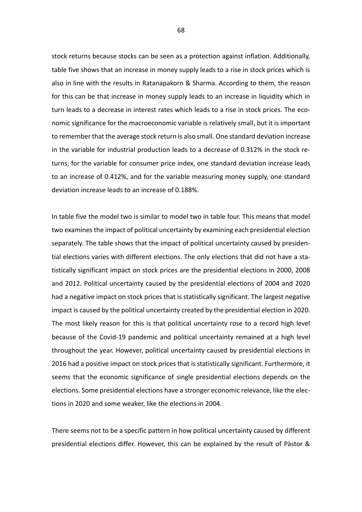stock returns because stocks can be seen as a protection against inflation. Additionally, table five shows that an increase in money supply leads to a rise in stock prices which is also in line with the results in Ratanapakorn & Sharma. According to them, the reason for this can be that increase in money supply leads to an increase in liquidity which in turn leads to a decrease in interest rates which leads to a rise in stock prices. The economic significance for the macroeconomic variable is relatively small, but it is important to remember that the average stock return is also small. One standard deviation increase in the variable for industrial production leads to a decrease of 0.312% in the stock returns; for the variable for consumer price index, one standard deviation increase leads to an increase of 0.412%, and for the variable measuring money supply, one standard deviation increase leads to an increase of 0.188%.

In table five the model two is similar to model two in table four. This means that model two examines the impact of political uncertainty by examining each presidential election separately. The table shows that the impact of political uncertainty caused by presidential elections varies with different elections. The only elections that did not have a statistically significant impact on stock prices are the presidential elections in 2000, 2008 and 2012. Political uncertainty caused by the presidential elections of 2004 and 2020 had a negative impact on stock prices that is statistically significant. The largest negative impact is caused by the political uncertainty created by the presidential election in 2020. The most likely reason for this is that political uncertainty rose to a record high level because of the Covid-19 pandemic and political uncertainty remained at a high level throughout the year. However, political uncertainty caused by presidential elections in 2016 had a positive impact on stock prices that is statistically significant. Furthermore, it seems that the economic significance of single presidential elections depends on the elections. Some presidential elections have a stronger economic relevance, like the elections in 2020 and some weaker, like the elections in 2004.

There seems not to be a specific pattern in how political uncertainty caused by different presidential elections differ. However, this can be explained by the result of Pàstor &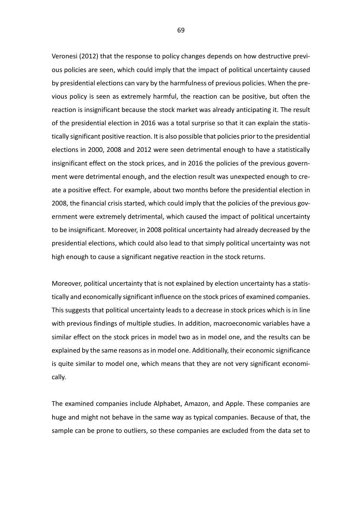Veronesi (2012) that the response to policy changes depends on how destructive previous policies are seen, which could imply that the impact of political uncertainty caused by presidential elections can vary by the harmfulness of previous policies. When the previous policy is seen as extremely harmful, the reaction can be positive, but often the reaction is insignificant because the stock market was already anticipating it. The result of the presidential election in 2016 was a total surprise so that it can explain the statistically significant positive reaction. It is also possible that policies prior to the presidential elections in 2000, 2008 and 2012 were seen detrimental enough to have a statistically insignificant effect on the stock prices, and in 2016 the policies of the previous government were detrimental enough, and the election result was unexpected enough to create a positive effect. For example, about two months before the presidential election in 2008, the financial crisis started, which could imply that the policies of the previous government were extremely detrimental, which caused the impact of political uncertainty to be insignificant. Moreover, in 2008 political uncertainty had already decreased by the presidential elections, which could also lead to that simply political uncertainty was not high enough to cause a significant negative reaction in the stock returns.

Moreover, political uncertainty that is not explained by election uncertainty has a statistically and economically significant influence on the stock prices of examined companies. This suggests that political uncertainty leads to a decrease in stock prices which is in line with previous findings of multiple studies. In addition, macroeconomic variables have a similar effect on the stock prices in model two as in model one, and the results can be explained by the same reasons as in model one. Additionally, their economic significance is quite similar to model one, which means that they are not very significant economically.

The examined companies include Alphabet, Amazon, and Apple. These companies are huge and might not behave in the same way as typical companies. Because of that, the sample can be prone to outliers, so these companies are excluded from the data set to

69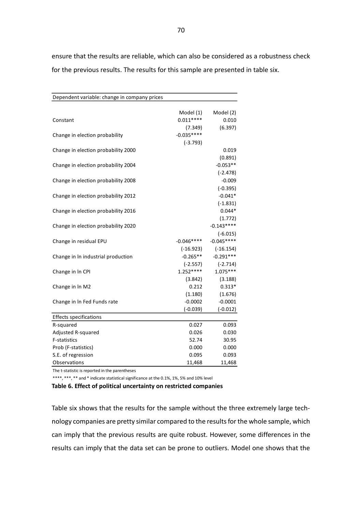Dependent variable: change in company prices Model (1) Model (2) Constant 0.011\*\*\*\* 0.010 (7.349) (6.397) Change in election probability  $-0.035***$ (-3.793) Change in election probability 2000 0.019 (0.891) Change in election probability 2004 -0.053\*\* (-2.478) Change in election probability 2008 -0.009 (-0.395) Change in election probability 2012 change in election probability 2012 (-1.831) Change in election probability 2016 change in election probability 2016 (1.772) Change in election probability 2020 -0.143\*\*\*\* (-6.015) Change in residual EPU  $-0.046****$   $-0.045****$ (-16.923) (-16.154) Change in In industrial production  $-0.265**$  -0.291\*\*\* (-2.557) (-2.714) Change in ln CPI 1.252\*\*\*\* 1.075\*\*\* (3.842) (3.188) Change in  $\ln M2$  0.212 0.313\* (1.180) (1.676) Change in In Fed Funds rate  $-0.0002$  -0.0001 (-0.039) (-0.012) Effects specifications R-squared 0.027 0.093 Adjusted R-squared **0.026** 0.030 F-statistics 52.74 30.95 Prob (F-statistics) and the contract of the contract of the contract of the contract of the contract of the contract of the contract of the contract of the contract of the contract of the contract of the contract of the co S.E. of regression 0.095 0.093 Observations 11,468 11,468

ensure that the results are reliable, which can also be considered as a robustness check for the previous results. The results for this sample are presented in table six.

The t-statistic is reported in the parentheses

\*\*\*\*, \*\*\*, \*\* and \* indicate statistical significance at the 0.1%, 1%, 5% and 10% level

**Table 6. Effect of political uncertainty on restricted companies**

Table six shows that the results for the sample without the three extremely large technology companies are pretty similar compared to the results for the whole sample, which can imply that the previous results are quite robust. However, some differences in the results can imply that the data set can be prone to outliers. Model one shows that the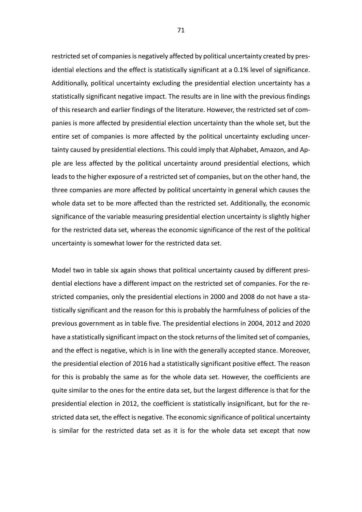restricted set of companies is negatively affected by political uncertainty created by presidential elections and the effect is statistically significant at a 0.1% level of significance. Additionally, political uncertainty excluding the presidential election uncertainty has a statistically significant negative impact. The results are in line with the previous findings of this research and earlier findings of the literature. However, the restricted set of companies is more affected by presidential election uncertainty than the whole set, but the entire set of companies is more affected by the political uncertainty excluding uncertainty caused by presidential elections. This could imply that Alphabet, Amazon, and Apple are less affected by the political uncertainty around presidential elections, which leads to the higher exposure of a restricted set of companies, but on the other hand, the three companies are more affected by political uncertainty in general which causes the whole data set to be more affected than the restricted set. Additionally, the economic significance of the variable measuring presidential election uncertainty is slightly higher for the restricted data set, whereas the economic significance of the rest of the political uncertainty is somewhat lower for the restricted data set.

Model two in table six again shows that political uncertainty caused by different presidential elections have a different impact on the restricted set of companies. For the restricted companies, only the presidential elections in 2000 and 2008 do not have a statistically significant and the reason for this is probably the harmfulness of policies of the previous government as in table five. The presidential elections in 2004, 2012 and 2020 have a statistically significant impact on the stock returns of the limited set of companies, and the effect is negative, which is in line with the generally accepted stance. Moreover, the presidential election of 2016 had a statistically significant positive effect. The reason for this is probably the same as for the whole data set. However, the coefficients are quite similar to the ones for the entire data set, but the largest difference is that for the presidential election in 2012, the coefficient is statistically insignificant, but for the restricted data set, the effect is negative. The economic significance of political uncertainty is similar for the restricted data set as it is for the whole data set except that now

71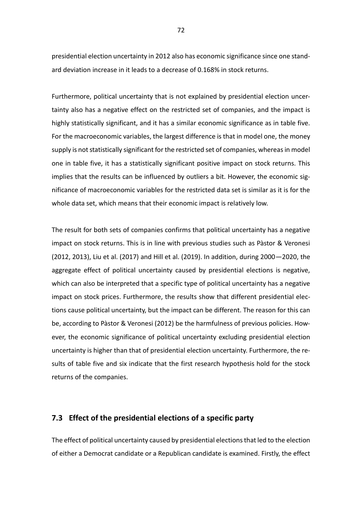presidential election uncertainty in 2012 also has economic significance since one standard deviation increase in it leads to a decrease of 0.168% in stock returns.

Furthermore, political uncertainty that is not explained by presidential election uncertainty also has a negative effect on the restricted set of companies, and the impact is highly statistically significant, and it has a similar economic significance as in table five. For the macroeconomic variables, the largest difference is that in model one, the money supply is not statistically significant for the restricted set of companies, whereas in model one in table five, it has a statistically significant positive impact on stock returns. This implies that the results can be influenced by outliers a bit. However, the economic significance of macroeconomic variables for the restricted data set is similar as it is for the whole data set, which means that their economic impact is relatively low.

The result for both sets of companies confirms that political uncertainty has a negative impact on stock returns. This is in line with previous studies such as Pàstor & Veronesi (2012, 2013), Liu et al. (2017) and Hill et al. (2019). In addition, during 2000—2020, the aggregate effect of political uncertainty caused by presidential elections is negative, which can also be interpreted that a specific type of political uncertainty has a negative impact on stock prices. Furthermore, the results show that different presidential elections cause political uncertainty, but the impact can be different. The reason for this can be, according to Pàstor & Veronesi (2012) be the harmfulness of previous policies. However, the economic significance of political uncertainty excluding presidential election uncertainty is higher than that of presidential election uncertainty. Furthermore, the results of table five and six indicate that the first research hypothesis hold for the stock returns of the companies.

## **7.3 Effect of the presidential elections of a specific party**

The effect of political uncertainty caused by presidential elections that led to the election of either a Democrat candidate or a Republican candidate is examined. Firstly, the effect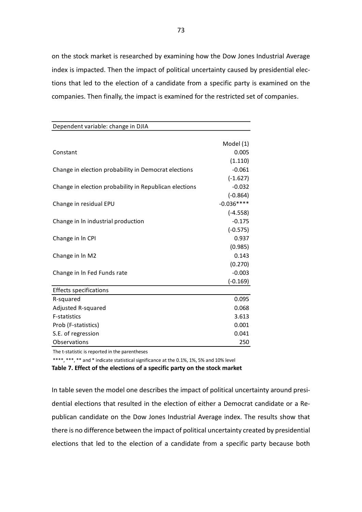on the stock market is researched by examining how the Dow Jones Industrial Average index is impacted. Then the impact of political uncertainty caused by presidential elections that led to the election of a candidate from a specific party is examined on the companies. Then finally, the impact is examined for the restricted set of companies.

| Dependent variable: change in DJIA                     |                        |
|--------------------------------------------------------|------------------------|
|                                                        |                        |
|                                                        | Model (1)              |
| Constant                                               | 0.005                  |
|                                                        | (1.110)                |
| Change in election probability in Democrat elections   | $-0.061$               |
|                                                        | $(-1.627)$             |
| Change in election probability in Republican elections | $-0.032$<br>$(-0.864)$ |
|                                                        | $-0.036***$            |
| Change in residual EPU                                 | $(-4.558)$             |
| Change in In industrial production                     | $-0.175$               |
|                                                        | $(-0.575)$             |
| Change in In CPI                                       | 0.937                  |
|                                                        | (0.985)                |
| Change in In M2                                        | 0.143                  |
|                                                        | (0.270)                |
| Change in In Fed Funds rate                            | $-0.003$               |
|                                                        | $(-0.169)$             |
| <b>Effects specifications</b>                          |                        |
| R-squared                                              | 0.095                  |
| Adjusted R-squared                                     | 0.068                  |
| F-statistics                                           | 3.613                  |
| Prob (F-statistics)                                    | 0.001                  |
| S.E. of regression                                     | 0.041                  |
| Observations                                           | 250                    |

The t-statistic is reported in the parentheses

\*\*\*\*, \*\*\*, \*\* and \* indicate statistical significance at the 0.1%, 1%, 5% and 10% level

**Table 7. Effect of the elections of a specific party on the stock market** 

In table seven the model one describes the impact of political uncertainty around presidential elections that resulted in the election of either a Democrat candidate or a Republican candidate on the Dow Jones Industrial Average index. The results show that there is no difference between the impact of political uncertainty created by presidential elections that led to the election of a candidate from a specific party because both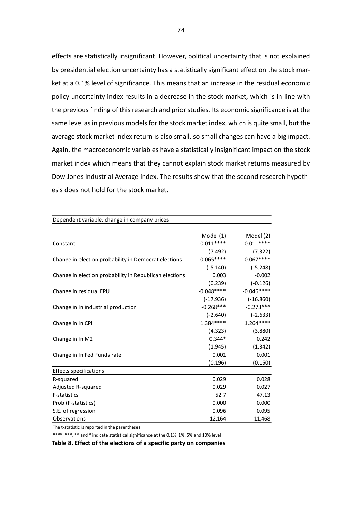effects are statistically insignificant. However, political uncertainty that is not explained by presidential election uncertainty has a statistically significant effect on the stock market at a 0.1% level of significance. This means that an increase in the residual economic policy uncertainty index results in a decrease in the stock market, which is in line with the previous finding of this research and prior studies. Its economic significance is at the same level as in previous models for the stock market index, which is quite small, but the average stock market index return is also small, so small changes can have a big impact. Again, the macroeconomic variables have a statistically insignificant impact on the stock market index which means that they cannot explain stock market returns measured by Dow Jones Industrial Average index. The results show that the second research hypothesis does not hold for the stock market.

| Dependent variable: change in company prices           |             |             |
|--------------------------------------------------------|-------------|-------------|
|                                                        |             |             |
|                                                        | Model (1)   | Model (2)   |
| Constant                                               | $0.011***$  | $0.011***$  |
|                                                        | (7.492)     | (7.322)     |
| Change in election probability in Democrat elections   | $-0.065***$ | $-0.067***$ |
|                                                        | $(-5.140)$  | $(-5.248)$  |
| Change in election probability in Republican elections | 0.003       | $-0.002$    |
|                                                        | (0.239)     | $(-0.126)$  |
| Change in residual EPU                                 | $-0.048***$ | $-0.046***$ |
|                                                        | $(-17.936)$ | $(-16.860)$ |
| Change in In industrial production                     | $-0.268***$ | $-0.273***$ |
|                                                        | $(-2.640)$  | $(-2.633)$  |
| Change in In CPI                                       | $1.384***$  | $1.264***$  |
|                                                        | (4.323)     | (3.880)     |
| Change in In M2                                        | $0.344*$    | 0.242       |
|                                                        | (1.945)     | (1.342)     |
| Change in In Fed Funds rate                            | 0.001       | 0.001       |
|                                                        | (0.196)     | (0.150)     |
| <b>Effects specifications</b>                          |             |             |
| R-squared                                              | 0.029       | 0.028       |
| Adjusted R-squared                                     | 0.029       | 0.027       |
| <b>F-statistics</b>                                    | 52.7        | 47.13       |
| Prob (F-statistics)                                    | 0.000       | 0.000       |
| S.E. of regression                                     | 0.096       | 0.095       |
| Observations                                           | 12,164      | 11,468      |

The t-statistic is reported in the parentheses

\*\*\*\*, \*\*\*, \*\* and \* indicate statistical significance at the 0.1%, 1%, 5% and 10% level

**Table 8. Effect of the elections of a specific party on companies**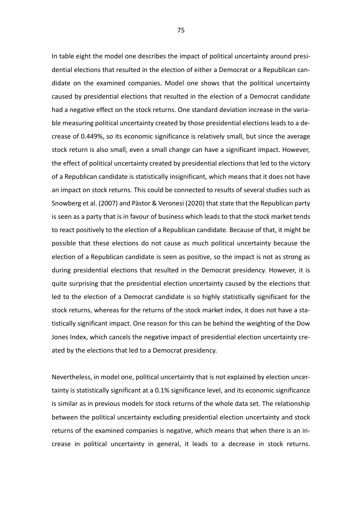In table eight the model one describes the impact of political uncertainty around presidential elections that resulted in the election of either a Democrat or a Republican candidate on the examined companies. Model one shows that the political uncertainty caused by presidential elections that resulted in the election of a Democrat candidate had a negative effect on the stock returns. One standard deviation increase in the variable measuring political uncertainty created by those presidential elections leads to a decrease of 0.449%, so its economic significance is relatively small, but since the average stock return is also small, even a small change can have a significant impact. However, the effect of political uncertainty created by presidential elections that led to the victory of a Republican candidate is statistically insignificant, which means that it does not have an impact on stock returns. This could be connected to results of several studies such as Snowberg et al. (2007) and Pàstor & Veronesi (2020) that state that the Republican party is seen as a party that is in favour of business which leads to that the stock market tends to react positively to the election of a Republican candidate. Because of that, it might be possible that these elections do not cause as much political uncertainty because the election of a Republican candidate is seen as positive, so the impact is not as strong as during presidential elections that resulted in the Democrat presidency. However, it is quite surprising that the presidential election uncertainty caused by the elections that led to the election of a Democrat candidate is so highly statistically significant for the stock returns, whereas for the returns of the stock market index, it does not have a statistically significant impact. One reason for this can be behind the weighting of the Dow Jones Index, which cancels the negative impact of presidential election uncertainty created by the elections that led to a Democrat presidency.

Nevertheless, in model one, political uncertainty that is not explained by election uncertainty is statistically significant at a 0.1% significance level, and its economic significance is similar as in previous models for stock returns of the whole data set. The relationship between the political uncertainty excluding presidential election uncertainty and stock returns of the examined companies is negative, which means that when there is an increase in political uncertainty in general, it leads to a decrease in stock returns.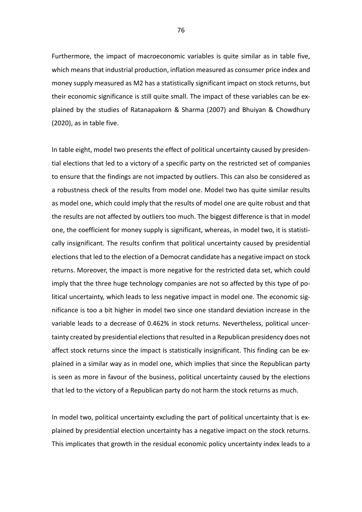Furthermore, the impact of macroeconomic variables is quite similar as in table five, which means that industrial production, inflation measured as consumer price index and money supply measured as M2 has a statistically significant impact on stock returns, but their economic significance is still quite small. The impact of these variables can be explained by the studies of Ratanapakorn & Sharma (2007) and Bhuiyan & Chowdhury (2020), as in table five.

In table eight, model two presents the effect of political uncertainty caused by presidential elections that led to a victory of a specific party on the restricted set of companies to ensure that the findings are not impacted by outliers. This can also be considered as a robustness check of the results from model one. Model two has quite similar results as model one, which could imply that the results of model one are quite robust and that the results are not affected by outliers too much. The biggest difference is that in model one, the coefficient for money supply is significant, whereas, in model two, it is statistically insignificant. The results confirm that political uncertainty caused by presidential elections that led to the election of a Democrat candidate has a negative impact on stock returns. Moreover, the impact is more negative for the restricted data set, which could imply that the three huge technology companies are not so affected by this type of political uncertainty, which leads to less negative impact in model one. The economic significance is too a bit higher in model two since one standard deviation increase in the variable leads to a decrease of 0.462% in stock returns. Nevertheless, political uncertainty created by presidential elections that resulted in a Republican presidency does not affect stock returns since the impact is statistically insignificant. This finding can be explained in a similar way as in model one, which implies that since the Republican party is seen as more in favour of the business, political uncertainty caused by the elections that led to the victory of a Republican party do not harm the stock returns as much.

In model two, political uncertainty excluding the part of political uncertainty that is explained by presidential election uncertainty has a negative impact on the stock returns. This implicates that growth in the residual economic policy uncertainty index leads to a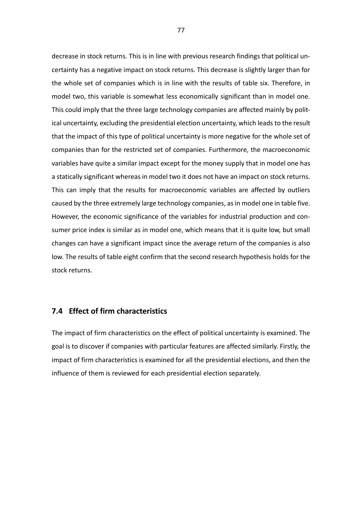decrease in stock returns. This is in line with previous research findings that political uncertainty has a negative impact on stock returns. This decrease is slightly larger than for the whole set of companies which is in line with the results of table six. Therefore, in model two, this variable is somewhat less economically significant than in model one. This could imply that the three large technology companies are affected mainly by political uncertainty, excluding the presidential election uncertainty, which leads to the result that the impact of this type of political uncertainty is more negative for the whole set of companies than for the restricted set of companies. Furthermore, the macroeconomic variables have quite a similar impact except for the money supply that in model one has a statically significant whereas in model two it does not have an impact on stock returns. This can imply that the results for macroeconomic variables are affected by outliers caused by the three extremely large technology companies, as in model one in table five. However, the economic significance of the variables for industrial production and consumer price index is similar as in model one, which means that it is quite low, but small changes can have a significant impact since the average return of the companies is also low. The results of table eight confirm that the second research hypothesis holds for the stock returns.

### **7.4 Effect of firm characteristics**

The impact of firm characteristics on the effect of political uncertainty is examined. The goal is to discover if companies with particular features are affected similarly. Firstly, the impact of firm characteristics is examined for all the presidential elections, and then the influence of them is reviewed for each presidential election separately.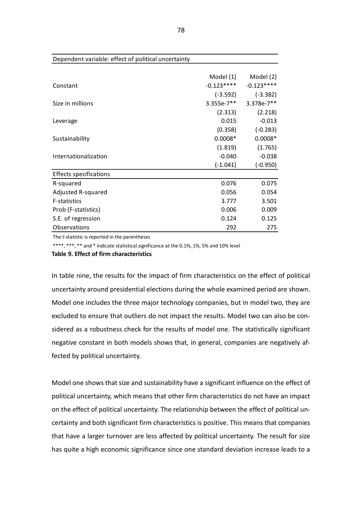|                               | Model (1)    | Model (2)    |
|-------------------------------|--------------|--------------|
| Constant                      | $-0.123***$  | $-0.123***$  |
|                               | $(-3.592)$   | $(-3.382)$   |
| Size in millions              | $3.355e-7**$ | $3.378e-7**$ |
|                               | (2.313)      | (2.218)      |
| Leverage                      | 0.015        | $-0.013$     |
|                               | (0.358)      | $(-0.283)$   |
| Sustainability                | $0.0008*$    | $0.0008*$    |
|                               | (1.819)      | (1.765)      |
| Internationalization          | $-0.040$     | $-0.038$     |
|                               | $(-1.041)$   | $(-0.950)$   |
| <b>Effects specifications</b> |              |              |
| R-squared                     | 0.076        | 0.075        |
| Adjusted R-squared            | 0.056        | 0.054        |
| <b>F-statistics</b>           | 3.777        | 3.501        |
| Prob (F-statistics)           | 0.006        | 0.009        |
| S.E. of regression            | 0.124        | 0.125        |
| Observations                  | 292          | 275          |

### Dependent variable: effect of political uncertainty

The t-statistic is reported in the parentheses

\*\*\*\*, \*\*\*, \*\* and \* indicate statistical significance at the 0.1%, 1%, 5% and 10% level

**Table 9. Effect of firm characteristics** 

In table nine, the results for the impact of firm characteristics on the effect of political uncertainty around presidential elections during the whole examined period are shown. Model one includes the three major technology companies, but in model two, they are excluded to ensure that outliers do not impact the results. Model two can also be considered as a robustness check for the results of model one. The statistically significant negative constant in both models shows that, in general, companies are negatively affected by political uncertainty.

Model one shows that size and sustainability have a significant influence on the effect of political uncertainty, which means that other firm characteristics do not have an impact on the effect of political uncertainty. The relationship between the effect of political uncertainty and both significant firm characteristics is positive. This means that companies that have a larger turnover are less affected by political uncertainty. The result for size has quite a high economic significance since one standard deviation increase leads to a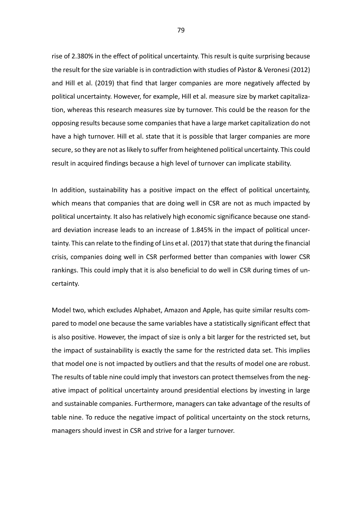rise of 2.380% in the effect of political uncertainty. This result is quite surprising because the result for the size variable is in contradiction with studies of Pàstor & Veronesi (2012) and Hill et al. (2019) that find that larger companies are more negatively affected by political uncertainty. However, for example, Hill et al. measure size by market capitalization, whereas this research measures size by turnover. This could be the reason for the opposing results because some companies that have a large market capitalization do not have a high turnover. Hill et al. state that it is possible that larger companies are more secure, so they are not as likely to suffer from heightened political uncertainty. This could result in acquired findings because a high level of turnover can implicate stability.

In addition, sustainability has a positive impact on the effect of political uncertainty, which means that companies that are doing well in CSR are not as much impacted by political uncertainty. It also has relatively high economic significance because one standard deviation increase leads to an increase of 1.845% in the impact of political uncertainty. This can relate to the finding of Lins et al. (2017) that state that during the financial crisis, companies doing well in CSR performed better than companies with lower CSR rankings. This could imply that it is also beneficial to do well in CSR during times of uncertainty.

Model two, which excludes Alphabet, Amazon and Apple, has quite similar results compared to model one because the same variables have a statistically significant effect that is also positive. However, the impact of size is only a bit larger for the restricted set, but the impact of sustainability is exactly the same for the restricted data set. This implies that model one is not impacted by outliers and that the results of model one are robust. The results of table nine could imply that investors can protect themselves from the negative impact of political uncertainty around presidential elections by investing in large and sustainable companies. Furthermore, managers can take advantage of the results of table nine. To reduce the negative impact of political uncertainty on the stock returns, managers should invest in CSR and strive for a larger turnover.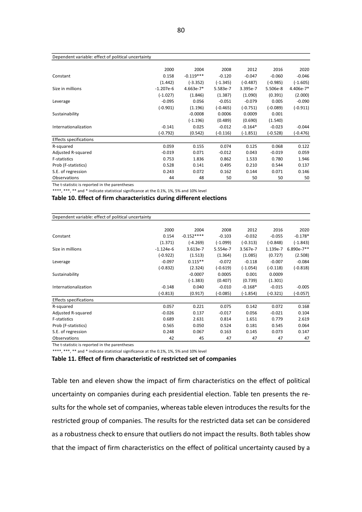#### 80

#### Dependent variable: effect of political uncertainty

|                               | 2000        | 2004        | 2008       | 2012       | 2016       | 2020       |
|-------------------------------|-------------|-------------|------------|------------|------------|------------|
| Constant                      | 0.158       | $-0.119***$ | $-0.120$   | $-0.047$   | $-0.060$   | $-0.046$   |
|                               | (1.442)     | $(-3.352)$  | $(-1.345)$ | $(-0.487)$ | $(-0.985)$ | (-1.605)   |
| Size in millions              | $-1.207e-6$ | $4.663e-7*$ | 5.583e-7   | 3.395e-7   | 5.506e-8   | 4.406e-7*  |
|                               | $(-1.027)$  | (1.846)     | (1.387)    | (1.090)    | (0.391)    | (2.000)    |
| Leverage                      | $-0.095$    | 0.056       | $-0.051$   | $-0.079$   | 0.005      | $-0.090$   |
|                               | $(-0.901)$  | (1.196)     | $(-0.465)$ | $(-0.751)$ | $(-0.089)$ | (-0.911)   |
| Sustainability                |             | $-0.0008$   | 0.0006     | 0.0009     | 0.001      |            |
|                               |             | $(-1.196)$  | (0.489)    | (0.690)    | (1.540)    |            |
| Internationalization          | $-0.141$    | 0.025       | $-0.012$   | $-0.164*$  | $-0.023$   | $-0.044$   |
|                               | $(-0.792)$  | (0.542)     | (-0.116)   | $(-1.851)$ | (-0.528)   | $(-0.476)$ |
| <b>Effects specifications</b> |             |             |            |            |            |            |
| R-squared                     | 0.059       | 0.155       | 0.074      | 0.125      | 0.068      | 0.122      |
| Adjusted R-squared            | $-0.019$    | 0.071       | $-0.012$   | 0.043      | $-0.019$   | 0.059      |
| <b>F-statistics</b>           | 0.753       | 1.836       | 0.862      | 1.533      | 0.780      | 1.946      |
| Prob (F-statistics)           | 0.528       | 0.141       | 0.495      | 0.210      | 0.544      | 0.137      |
| S.E. of regression            | 0.243       | 0.072       | 0.162      | 0.144      | 0.071      | 0.146      |
| Observations                  | 44          | 48          | 50         | 50         | 50         | 50         |
|                               |             |             |            |            |            |            |

The t-statistic is reported in the parentheses

\*\*\*\*, \*\*\*, \*\* and \* indicate statistical significance at the 0.1%, 1%, 5% and 10% level

### **Table 10. Effect of firm characteristics during different elections**

| Dependent variable: effect of political uncertainty |             |             |            |            |            |              |
|-----------------------------------------------------|-------------|-------------|------------|------------|------------|--------------|
|                                                     |             |             |            |            |            |              |
|                                                     | 2000        | 2004        | 2008       | 2012       | 2016       | 2020         |
| Constant                                            | 0.154       | $-0.152***$ | $-0.103$   | $-0.032$   | $-0.055$   | $-0.178*$    |
|                                                     | (1.371)     | $(-4.269)$  | $(-1.099)$ | $(-0.313)$ | $(-0.848)$ | $(-1.843)$   |
| Size in millions                                    | $-1.124e-6$ | 3.613e-7    | 5.554e-7   | 3.567e-7   | 1.139e-7   | $6.890e-7**$ |
|                                                     | $(-0.922)$  | (1.513)     | (1.364)    | (1.085)    | (0.727)    | (2.508)      |
| Leverage                                            | $-0.097$    | $0.115**$   | $-0.072$   | $-0.118$   | $-0.007$   | $-0.084$     |
|                                                     | $(-0.832)$  | (2.324)     | $(-0.619)$ | $(-1.054)$ | $(-0.118)$ | $(-0.818)$   |
| Sustainability                                      |             | $-0.0007$   | 0.0005     | 0.001      | 0.0009     |              |
|                                                     |             | $(-1.383)$  | (0.407)    | (0.739)    | (1.301)    |              |
| Internationalization                                | $-0.148$    | 0.040       | $-0.010$   | $-0.168*$  | $-0.015$   | $-0.005$     |
|                                                     | $(-0.813)$  | (0.917)     | (-0.085)   | (-1.854)   | (-0.321)   | $(-0.057)$   |
| <b>Effects specifications</b>                       |             |             |            |            |            |              |
| R-squared                                           | 0.057       | 0.221       | 0.075      | 0.142      | 0.072      | 0.168        |
| Adjusted R-squared                                  | $-0.026$    | 0.137       | $-0.017$   | 0.056      | $-0.021$   | 0.104        |
| F-statistics                                        | 0.689       | 2.631       | 0.814      | 1.651      | 0.779      | 2.619        |
| Prob (F-statistics)                                 | 0.565       | 0.050       | 0.524      | 0.181      | 0.545      | 0.064        |
| S.E. of regression                                  | 0.248       | 0.067       | 0.163      | 0.145      | 0.073      | 0.147        |
| Observations                                        | 42          | 45          | 47         | 47         | 47         | 47           |

The t-statistic is reported in the parentheses

\*\*\*\*, \*\*\*, \*\* and \* indicate statistical significance at the 0.1%, 1%, 5% and 10% level

**Table 11. Effect of firm characteristic of restricted set of companies** 

Table ten and eleven show the impact of firm characteristics on the effect of political uncertainty on companies during each presidential election. Table ten presents the results for the whole set of companies, whereas table eleven introduces the results for the restricted group of companies. The results for the restricted data set can be considered as a robustness check to ensure that outliers do not impact the results. Both tables show that the impact of firm characteristics on the effect of political uncertainty caused by a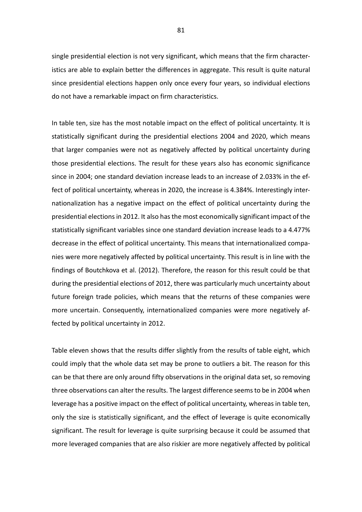single presidential election is not very significant, which means that the firm characteristics are able to explain better the differences in aggregate. This result is quite natural since presidential elections happen only once every four years, so individual elections do not have a remarkable impact on firm characteristics.

In table ten, size has the most notable impact on the effect of political uncertainty. It is statistically significant during the presidential elections 2004 and 2020, which means that larger companies were not as negatively affected by political uncertainty during those presidential elections. The result for these years also has economic significance since in 2004; one standard deviation increase leads to an increase of 2.033% in the effect of political uncertainty, whereas in 2020, the increase is 4.384%. Interestingly internationalization has a negative impact on the effect of political uncertainty during the presidential elections in 2012. It also has the most economically significant impact of the statistically significant variables since one standard deviation increase leads to a 4.477% decrease in the effect of political uncertainty. This means that internationalized companies were more negatively affected by political uncertainty. This result is in line with the findings of Boutchkova et al. (2012). Therefore, the reason for this result could be that during the presidential elections of 2012, there was particularly much uncertainty about future foreign trade policies, which means that the returns of these companies were more uncertain. Consequently, internationalized companies were more negatively affected by political uncertainty in 2012.

Table eleven shows that the results differ slightly from the results of table eight, which could imply that the whole data set may be prone to outliers a bit. The reason for this can be that there are only around fifty observations in the original data set, so removing three observations can alter the results. The largest difference seems to be in 2004 when leverage has a positive impact on the effect of political uncertainty, whereas in table ten, only the size is statistically significant, and the effect of leverage is quite economically significant. The result for leverage is quite surprising because it could be assumed that more leveraged companies that are also riskier are more negatively affected by political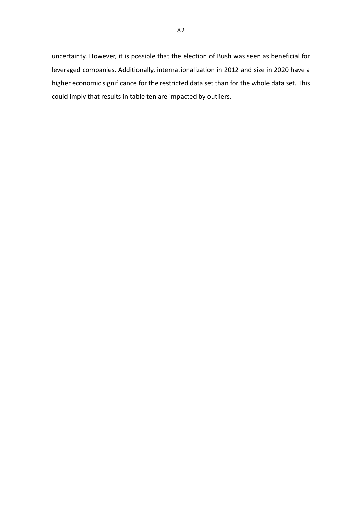uncertainty. However, it is possible that the election of Bush was seen as beneficial for leveraged companies. Additionally, internationalization in 2012 and size in 2020 have a higher economic significance for the restricted data set than for the whole data set. This could imply that results in table ten are impacted by outliers.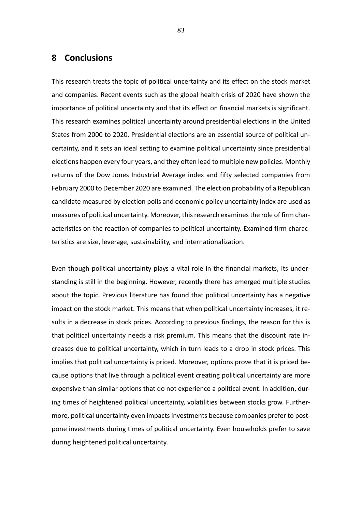## **8 Conclusions**

This research treats the topic of political uncertainty and its effect on the stock market and companies. Recent events such as the global health crisis of 2020 have shown the importance of political uncertainty and that its effect on financial markets is significant. This research examines political uncertainty around presidential elections in the United States from 2000 to 2020. Presidential elections are an essential source of political uncertainty, and it sets an ideal setting to examine political uncertainty since presidential elections happen every four years, and they often lead to multiple new policies. Monthly returns of the Dow Jones Industrial Average index and fifty selected companies from February 2000 to December 2020 are examined. The election probability of a Republican candidate measured by election polls and economic policy uncertainty index are used as measures of political uncertainty. Moreover, this research examines the role of firm characteristics on the reaction of companies to political uncertainty. Examined firm characteristics are size, leverage, sustainability, and internationalization.

Even though political uncertainty plays a vital role in the financial markets, its understanding is still in the beginning. However, recently there has emerged multiple studies about the topic. Previous literature has found that political uncertainty has a negative impact on the stock market. This means that when political uncertainty increases, it results in a decrease in stock prices. According to previous findings, the reason for this is that political uncertainty needs a risk premium. This means that the discount rate increases due to political uncertainty, which in turn leads to a drop in stock prices. This implies that political uncertainty is priced. Moreover, options prove that it is priced because options that live through a political event creating political uncertainty are more expensive than similar options that do not experience a political event. In addition, during times of heightened political uncertainty, volatilities between stocks grow. Furthermore, political uncertainty even impacts investments because companies prefer to postpone investments during times of political uncertainty. Even households prefer to save during heightened political uncertainty.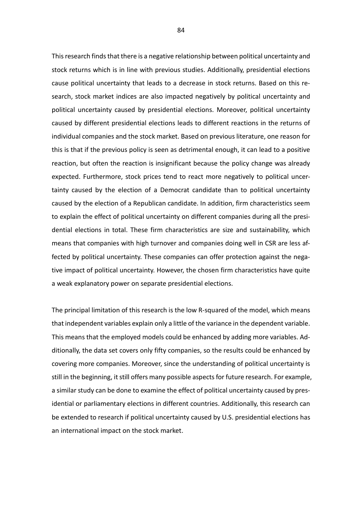This research finds that there is a negative relationship between political uncertainty and stock returns which is in line with previous studies. Additionally, presidential elections cause political uncertainty that leads to a decrease in stock returns. Based on this research, stock market indices are also impacted negatively by political uncertainty and political uncertainty caused by presidential elections. Moreover, political uncertainty caused by different presidential elections leads to different reactions in the returns of individual companies and the stock market. Based on previous literature, one reason for this is that if the previous policy is seen as detrimental enough, it can lead to a positive reaction, but often the reaction is insignificant because the policy change was already expected. Furthermore, stock prices tend to react more negatively to political uncertainty caused by the election of a Democrat candidate than to political uncertainty caused by the election of a Republican candidate. In addition, firm characteristics seem to explain the effect of political uncertainty on different companies during all the presidential elections in total. These firm characteristics are size and sustainability, which means that companies with high turnover and companies doing well in CSR are less affected by political uncertainty. These companies can offer protection against the negative impact of political uncertainty. However, the chosen firm characteristics have quite a weak explanatory power on separate presidential elections.

The principal limitation of this research is the low R-squared of the model, which means that independent variables explain only a little of the variance in the dependent variable. This means that the employed models could be enhanced by adding more variables. Additionally, the data set covers only fifty companies, so the results could be enhanced by covering more companies. Moreover, since the understanding of political uncertainty is still in the beginning, it still offers many possible aspects for future research. For example, a similar study can be done to examine the effect of political uncertainty caused by presidential or parliamentary elections in different countries. Additionally, this research can be extended to research if political uncertainty caused by U.S. presidential elections has an international impact on the stock market.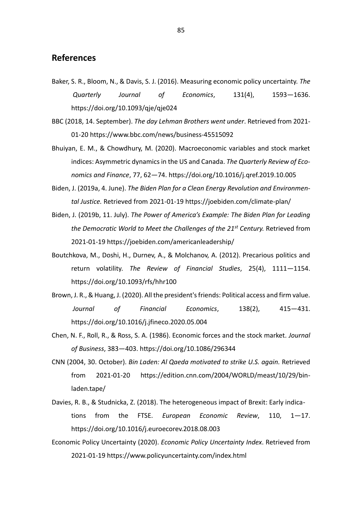## **References**

- Baker, S. R., Bloom, N., & Davis, S. J. (2016). Measuring economic policy uncertainty. *The Quarterly Journal of Economics*, 131(4), 1593—1636. <https://doi.org/10.1093/qje/qje024>
- BBC (2018, 14. September). *The day Lehman Brothers went under*. Retrieved from 2021- 01-20<https://www.bbc.com/news/business-45515092>
- Bhuiyan, E. M., & Chowdhury, M. (2020). Macroeconomic variables and stock market indices: Asymmetric dynamics in the US and Canada. *The Quarterly Review of Economics and Finance*, 77, 62—74. https://doi.org/10.1016/j.qref.2019.10.005
- Biden, J. (2019a, 4. June). *The Biden Plan for a Clean Energy Revolution and Environmental Justice.* Retrieved from 2021-01-19 <https://joebiden.com/climate-plan/>
- Biden, J. (2019b, 11. July). *The Power of America's Example: The Biden Plan for Leading the Democratic World to Meet the Challenges of the 21st Century.* Retrieved from 2021-01-19<https://joebiden.com/americanleadership/>
- Boutchkova, M., Doshi, H., Durnev, A., & Molchanov, A. (2012). Precarious politics and return volatility. *The Review of Financial Studies*, 25(4), 1111—1154. https://doi.org/10.1093/rfs/hhr100
- Brown, J. R., & Huang, J. (2020). All the president's friends: Political access and firm value. *Journal of Financial Economics*, 138(2), 415—431. <https://doi.org/10.1016/j.jfineco.2020.05.004>
- Chen, N. F., Roll, R., & Ross, S. A. (1986). Economic forces and the stock market. *Journal of Business*, 383—403. https://doi.org/10.1086/296344
- CNN (2004, 30. October). *Bin Laden: Al Qaeda motivated to strike U.S. again.* Retrieved from 2021-01-20 <https://edition.cnn.com/2004/WORLD/meast/10/29/bin>laden.tape/
- Davies, R. B., & Studnicka, Z. (2018). The heterogeneous impact of Brexit: Early indications from the FTSE. *European Economic Review*, 110, 1—17. <https://doi.org/10.1016/j.euroecorev.2018.08.003>
- Economic Policy Uncertainty (2020). *Economic Policy Uncertainty Index*. Retrieved from 2021-01-19 https://www.policyuncertainty.com/index.html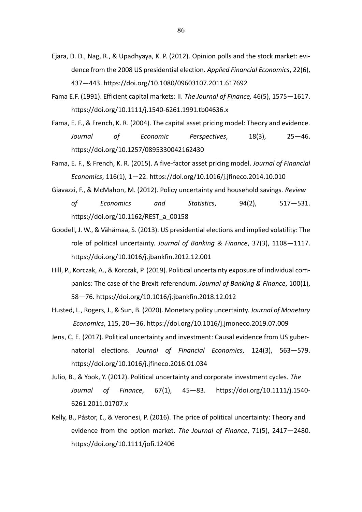- Ejara, D. D., Nag, R., & Upadhyaya, K. P. (2012). Opinion polls and the stock market: evidence from the 2008 US presidential election. *Applied Financial Economics*, 22(6), 437—443. https://doi.org/10.1080/09603107.2011.617692
- Fama E.F. (1991). Efficient capital markets: II. *The Journal of Finance,* 46(5), 1575—1617. <https://doi.org/10.1111/j.1540-6261.1991.tb04636.x>
- Fama, E. F., & French, K. R. (2004). The capital asset pricing model: Theory and evidence. *Journal of Economic Perspectives*, 18(3), 25—46. https://doi.org/10.1257/0895330042162430
- Fama, E. F., & French, K. R. (2015). A five-factor asset pricing model. *Journal of Financial Economics*, 116(1), 1—22. https://doi.org/10.1016/j.jfineco.2014.10.010
- Giavazzi, F., & McMahon, M. (2012). Policy uncertainty and household savings. *Review of Economics and Statistics*, 94(2), 517—531. https://doi.org/10.1162/REST\_a\_00158
- Goodell, J. W., & Vähämaa, S. (2013). US presidential elections and implied volatility: The role of political uncertainty. *Journal of Banking & Finance*, 37(3), 1108—1117. https://doi.org/10.1016/j.jbankfin.2012.12.001
- Hill, P., Korczak, A., & Korczak, P. (2019). Political uncertainty exposure of individual companies: The case of the Brexit referendum. *Journal of Banking & Finance*, 100(1), 58—76.<https://doi.org/10.1016/j.jbankfin.2018.12.012>
- Husted, L., Rogers, J., & Sun, B. (2020). Monetary policy uncertainty. *Journal of Monetary Economics*, 115, 20—36. https://doi.org/10.1016/j.jmoneco.2019.07.009
- Jens, C. E. (2017). Political uncertainty and investment: Causal evidence from US gubernatorial elections. *Journal of Financial Economics*, 124(3), 563—579. https://doi.org/10.1016/j.jfineco.2016.01.034
- Julio, B., & Yook, Y. (2012). Political uncertainty and corporate investment cycles. *The Journal of Finance*, 67(1), 45—83. <https://doi.org/10.1111/j.1540-> 6261.2011.01707.x
- Kelly, B., Pástor, Ľ., & Veronesi, P. (2016). The price of political uncertainty: Theory and evidence from the option market. *The Journal of Finance*, 71(5), 2417—2480. https://doi.org/10.1111/jofi.12406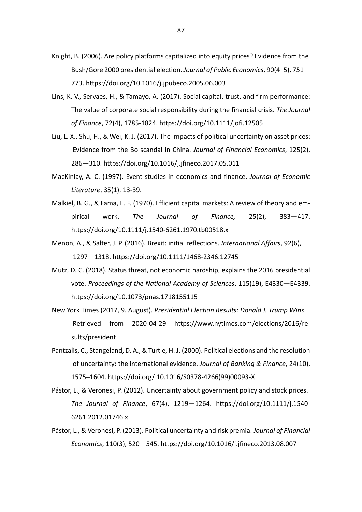- Knight, B. (2006). Are policy platforms capitalized into equity prices? Evidence from the Bush/Gore 2000 presidential election. *Journal of Public Economics*, 90(4–5), 751— 773.<https://doi.org/10.1016/j.jpubeco.2005.06.003>
- Lins, K. V., Servaes, H., & Tamayo, A. (2017). Social capital, trust, and firm performance: The value of corporate social responsibility during the financial crisis. *The Journal of Finance*, 72(4), 1785-1824. https://doi.org/10.1111/jofi.12505
- Liu, L. X., Shu, H., & Wei, K. J. (2017). The impacts of political uncertainty on asset prices: Evidence from the Bo scandal in China. *Journal of Financial Economics*, 125(2), 286—310.<https://doi.org/10.1016/j.jfineco.2017.05.011>
- MacKinlay, A. C. (1997). Event studies in economics and finance. *Journal of Economic Literature*, 35(1), 13-39.
- Malkiel, B. G., & Fama, E. F. (1970). Efficient capital markets: A review of theory and empirical work. *The Journal of Finance,* 25(2), 383—417. https://doi.org/10.1111/j.1540-6261.1970.tb00518.x
- Menon, A., & Salter, J. P. (2016). Brexit: initial reflections. *International Affairs*, 92(6), 1297—1318. https://doi.org/10.1111/1468-2346.12745
- Mutz, D. C. (2018). Status threat, not economic hardship, explains the 2016 presidential vote. *Proceedings of the National Academy of Sciences*, 115(19), E4330—E4339. <https://doi.org/10.1073/pnas.1718155115>
- New York Times (2017, 9. August). *Presidential Election Results: Donald J. Trump Wins*. Retrieved from 2020-04-29 [https://www.nytimes.com/elections/2016/re](https://www.nytimes.com/elections/2016/results/president)[sults/president](https://www.nytimes.com/elections/2016/results/president)
- Pantzalis, C., Stangeland, D. A., & Turtle, H. J. (2000). Political elections and the resolution of uncertainty: the international evidence. *Journal of Banking & Finance*, 24(10), 1575–1604. https://doi.org/ 10.1016/S0378-4266(99)00093-X
- Pástor, L., & Veronesi, P. (2012). Uncertainty about government policy and stock prices. *The Journal of Finance*, 67(4), 1219—1264. <https://doi.org/10.1111/j.1540-> 6261.2012.01746.x
- Pástor, L., & Veronesi, P. (2013). Political uncertainty and risk premia. *Journal of Financial Economics*, 110(3), 520—545.<https://doi.org/10.1016/j.jfineco.2013.08.007>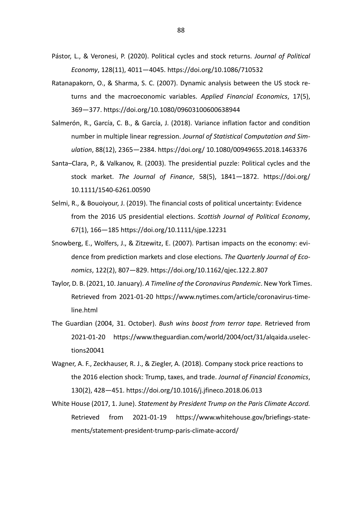- Pástor, L., & Veronesi, P. (2020). Political cycles and stock returns. *Journal of Political Economy*, 128(11), 4011—4045. <https://doi.org/10.1086/710532>
- Ratanapakorn, O., & Sharma, S. C. (2007). Dynamic analysis between the US stock returns and the macroeconomic variables. *Applied Financial Economics*, 17(5), 369—377. https://doi.org/10.1080/09603100600638944
- Salmerón, R., García, C. B., & García, J. (2018). Variance inflation factor and condition number in multiple linear regression. *Journal of Statistical Computation and Simulation*, 88(12), 2365—2384. https://doi.org/ 10.1080/00949655.2018.1463376
- Santa–Clara, P., & Valkanov, R. (2003). The presidential puzzle: Political cycles and the stock market. *The Journal of Finance*, 58(5), 1841—1872. https://doi.org/ 10.1111/1540-6261.00590
- Selmi, R., & Bouoiyour, J. (2019). The financial costs of political uncertainty: Evidence from the 2016 US presidential elections. *Scottish Journal of Political Economy*, 67(1), 166—185<https://doi.org/10.1111/sjpe.12231>
- Snowberg, E., Wolfers, J., & Zitzewitz, E. (2007). Partisan impacts on the economy: evidence from prediction markets and close elections. *The Quarterly Journal of Economics*, 122(2), 807—829. https://doi.org/10.1162/qjec.122.2.807
- Taylor, D. B. (2021, 10. January). *A Timeline of the Coronavirus Pandemic*. New York Times. Retrieved from 2021-01-20 <https://www.nytimes.com/article/coronavirus-time>line.html
- The Guardian (2004, 31. October). *Bush wins boost from terror tape.* Retrieved from 2021-01-20 <https://www.theguardian.com/world/2004/oct/31/alqaida.uselec>tions20041
- Wagner, A. F., Zeckhauser, R. J., & Ziegler, A. (2018). Company stock price reactions to the 2016 election shock: Trump, taxes, and trade. *Journal of Financial Economics*, 130(2), 428—451[. https://doi.org/10.1016/j.jfineco.2018.06.013](https://doi.org/10.1016/j.jfineco.2018.06.013)
- White House (2017, 1. June). *Statement by President Trump on the Paris Climate Accord.* Retrieved from 2021-01-19 <https://www.whitehouse.gov/briefings-state>ments/statement-president-trump-paris-climate-accord/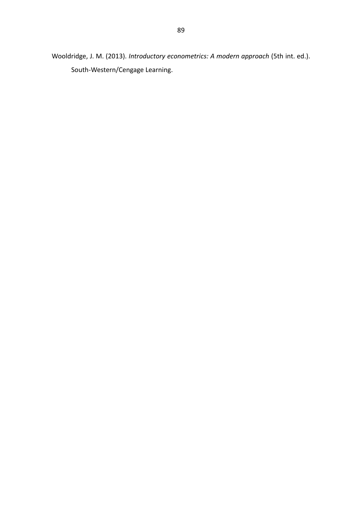Wooldridge, J. M. (2013). *Introductory econometrics: A modern approach* (5th int. ed.). South-Western/Cengage Learning.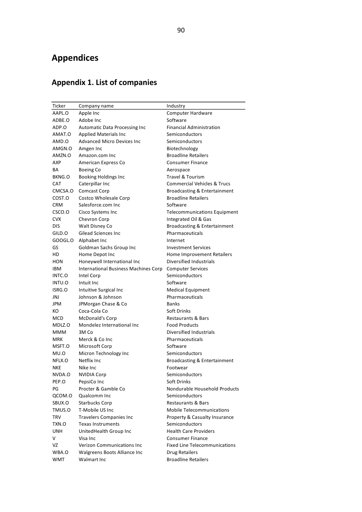## **Appendices**

## **Appendix 1. List of companies**

| Ticker     | Company name                         | Industry                                |
|------------|--------------------------------------|-----------------------------------------|
| AAPL.O     | Apple Inc                            | Computer Hardware                       |
| ADBE.O     | Adobe Inc                            | Software                                |
| ADP.O      | Automatic Data Processing Inc        | <b>Financial Administration</b>         |
| AMAT.O     | <b>Applied Materials Inc.</b>        | Semiconductors                          |
| AMD.O      | <b>Advanced Micro Devices Inc</b>    | Semiconductors                          |
| AMGN.O     | Amgen Inc                            | Biotechnology                           |
| AMZN.O     | Amazon.com Inc                       | <b>Broadline Retailers</b>              |
| AXP        | American Express Co                  | <b>Consumer Finance</b>                 |
| BA         | Boeing Co                            | Aerospace                               |
| BKNG.O     | <b>Booking Holdings Inc</b>          | <b>Travel &amp; Tourism</b>             |
| <b>CAT</b> | Caterpillar Inc                      | <b>Commercial Vehicles &amp; Trucs</b>  |
| CMCSA.O    | Comcast Corp                         | <b>Broadcasting &amp; Entertainment</b> |
| COST.O     | Costco Wholesale Corp                | <b>Broadline Retailers</b>              |
| CRM        | Salesforce.com Inc                   | Software                                |
| CSCO.O     | Cisco Systems Inc                    | <b>Telecommunications Equipment</b>     |
| <b>CVX</b> | Chevron Corp                         | Integrated Oil & Gas                    |
| <b>DIS</b> | Walt Disney Co                       | Broadcasting & Entertainment            |
| GILD.O     | Gilead Sciences Inc.                 | Pharmaceuticals                         |
| GOOGL.O    | Alphabet Inc                         | Internet                                |
| GS         | Goldman Sachs Group Inc              | <b>Investment Services</b>              |
| HD         | Home Depot Inc                       | Home Improvement Retailers              |
| <b>HON</b> | Honeywell International Inc          | Diversified Industrials                 |
| <b>IBM</b> | International Business Machines Corp | <b>Computer Services</b>                |
| INTC.O     | Intel Corp                           | Semiconductors                          |
| INTU.O     | Intuit Inc                           | Software                                |
| ISRG.O     | Intuitive Surgical Inc               | <b>Medical Equipment</b>                |
| JNJ        | Johnson & Johnson                    | Pharmaceuticals                         |
| JPM        | JPMorgan Chase & Co                  | <b>Banks</b>                            |
| КO         | Coca-Cola Co                         | Soft Drinks                             |
| MCD        | McDonald's Corp                      | <b>Restaurants &amp; Bars</b>           |
| MDLZ.O     | Mondelez International Inc           | <b>Food Products</b>                    |
| <b>MMM</b> | 3M Co                                | Diversified Industrials                 |
| <b>MRK</b> | Merck & Co Inc                       | Pharmaceuticals                         |
| MSFT.O     | Microsoft Corp                       | Software                                |
| MU.O       | Micron Technology Inc                | Semiconductors                          |
| NFLX.O     | Netflix Inc.                         | Broadcasting & Entertainment            |
| <b>NKE</b> | Nike Inc                             | Footwear                                |
| NVDA.O     | <b>NVIDIA Corp</b>                   | Semiconductors                          |
| PEP.O      | PepsiCo Inc                          | Soft Drinks                             |
| PG         | Procter & Gamble Co                  | Nondurable Household Products           |
| QCOM.O     | Qualcomm Inc                         | Semiconductors                          |
| SBUX.O     | <b>Starbucks Corp</b>                | <b>Restaurants &amp; Bars</b>           |
| TMUS.O     | T-Mobile US Inc                      | <b>Mobile Telecommunications</b>        |
| <b>TRV</b> | <b>Travelers Companies Inc</b>       | Property & Casualty Insurance           |
| TXN.O      | <b>Texas Instruments</b>             | Semiconductors                          |
| <b>UNH</b> | UnitedHealth Group Inc               | <b>Health Care Providers</b>            |
| V          | Visa Inc                             | Consumer Finance                        |
| VZ         | <b>Verizon Communications Inc</b>    | <b>Fixed Line Telecommunications</b>    |
| WBA.O      | Walgreens Boots Alliance Inc         | <b>Drug Retailers</b>                   |
| <b>WMT</b> | Walmart Inc                          | <b>Broadline Retailers</b>              |